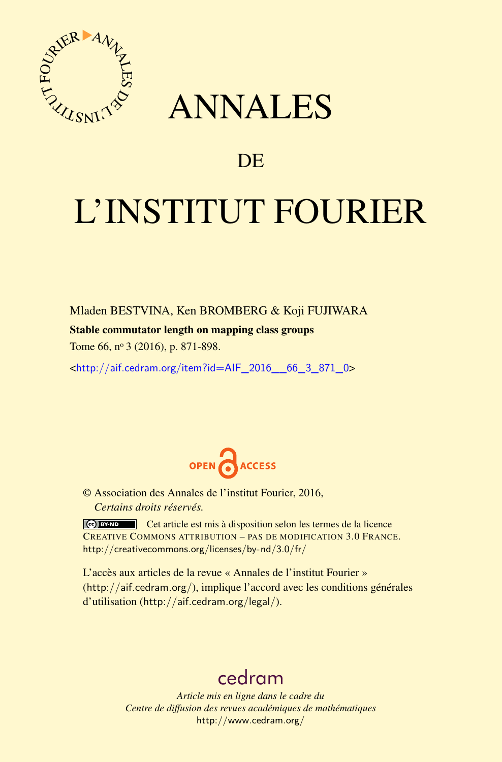

## ANNALES

### **DE**

# L'INSTITUT FOURIER

Mladen BESTVINA, Ken BROMBERG & Koji FUJIWARA

#### Stable commutator length on mapping class groups

Tome 66, nº 3 (2016), p. 871-898.

 $\kappa$ http://aif.cedram.org/item?id=AIF\_2016\_66\_3\_871\_0>



© Association des Annales de l'institut Fourier, 2016, *Certains droits réservés.*

Cet article est mis à disposition selon les termes de la licence CREATIVE COMMONS ATTRIBUTION – PAS DE MODIFICATION 3.0 FRANCE. <http://creativecommons.org/licenses/by-nd/3.0/fr/>

L'accès aux articles de la revue « Annales de l'institut Fourier » (<http://aif.cedram.org/>), implique l'accord avec les conditions générales d'utilisation (<http://aif.cedram.org/legal/>).

## [cedram](http://www.cedram.org/)

*Article mis en ligne dans le cadre du Centre de diffusion des revues académiques de mathématiques* <http://www.cedram.org/>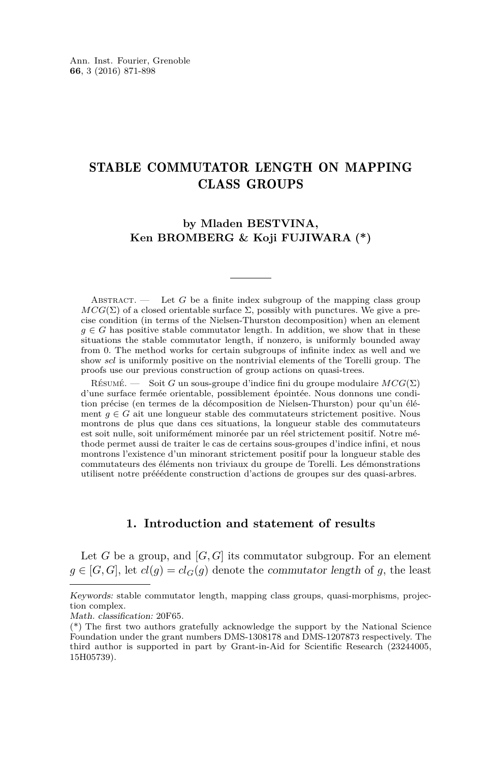#### STABLE COMMUTATOR LENGTH ON MAPPING CLASS GROUPS

#### **by Mladen BESTVINA, Ken BROMBERG & Koji FUJIWARA (\*)**

ABSTRACT.  $\qquad$  Let *G* be a finite index subgroup of the mapping class group  $MCG(\Sigma)$  of a closed orientable surface  $\Sigma$ , possibly with punctures. We give a precise condition (in terms of the Nielsen-Thurston decomposition) when an element  $g \in G$  has positive stable commutator length. In addition, we show that in these situations the stable commutator length, if nonzero, is uniformly bounded away from 0. The method works for certain subgroups of infinite index as well and we show *scl* is uniformly positive on the nontrivial elements of the Torelli group. The proofs use our previous construction of group actions on quasi-trees.

Résumé. — Soit *G* un sous-groupe d'indice fini du groupe modulaire *MCG*(Σ) d'une surface fermée orientable, possiblement épointée. Nous donnons une condition précise (en termes de la décomposition de Nielsen-Thurston) pour qu'un élément  $q \in G$  ait une longueur stable des commutateurs strictement positive. Nous montrons de plus que dans ces situations, la longueur stable des commutateurs est soit nulle, soit uniformément minorée par un réel strictement positif. Notre méthode permet aussi de traiter le cas de certains sous-groupes d'indice infini, et nous montrons l'existence d'un minorant strictement positif pour la longueur stable des commutateurs des éléments non triviaux du groupe de Torelli. Les démonstrations utilisent notre prééédente construction d'actions de groupes sur des quasi-arbres.

#### **1. Introduction and statement of results**

Let *G* be a group, and  $[G, G]$  its commutator subgroup. For an element  $g \in [G, G]$ , let  $cl(g) = cl_G(g)$  denote the commutator length of *g*, the least

Keywords: stable commutator length, mapping class groups, quasi-morphisms, projection complex.

Math. classification: 20F65.

<sup>(\*)</sup> The first two authors gratefully acknowledge the support by the National Science Foundation under the grant numbers DMS-1308178 and DMS-1207873 respectively. The third author is supported in part by Grant-in-Aid for Scientific Research (23244005, 15H05739).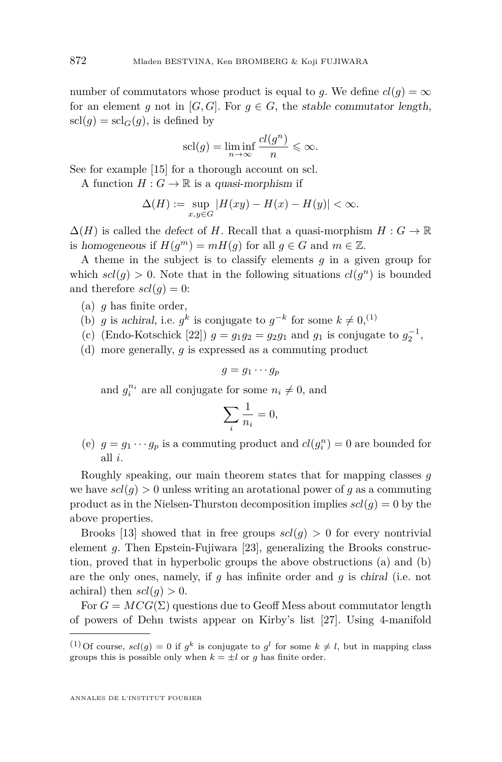number of commutators whose product is equal to *q*. We define  $cl(q) = \infty$ for an element *g* not in [*G*, *G*]. For  $g \in G$ , the stable commutator length,  $\text{scl}(q) = \text{scl}_G(q)$ , is defined by

$$
scl(g) = \liminf_{n \to \infty} \frac{cl(g^n)}{n} \leq \infty.
$$

See for example [\[15\]](#page-27-0) for a thorough account on scl.

A function  $H: G \to \mathbb{R}$  is a quasi-morphism if

$$
\Delta(H) := \sup_{x,y \in G} |H(xy) - H(x) - H(y)| < \infty.
$$

 $\Delta(H)$  is called the *defect* of *H*. Recall that a quasi-morphism  $H: G \to \mathbb{R}$ is homogeneous if  $H(g^m) = mH(g)$  for all  $g \in G$  and  $m \in \mathbb{Z}$ .

A theme in the subject is to classify elements *g* in a given group for which  $scl(g) > 0$ . Note that in the following situations  $cl(g^n)$  is bounded and therefore  $scl(g) = 0$ :

- (a) *g* has finite order,
- (b) *g* is achiral, i.e.  $g^k$  is conjugate to  $g^{-k}$  for some  $k \neq 0$ , <sup>(1)</sup>
- (c) (Endo-Kotschick [\[22\]](#page-27-1))  $g = g_1 g_2 = g_2 g_1$  and  $g_1$  is conjugate to  $g_2^{-1}$ ,
- (d) more generally, *g* is expressed as a commuting product

$$
g=g_1\cdots g_p
$$

and  $g_i^{n_i}$  are all conjugate for some  $n_i \neq 0$ , and

$$
\sum_{i} \frac{1}{n_i} = 0,
$$

(e)  $g = g_1 \cdots g_p$  is a commuting product and  $cl(g_i^n) = 0$  are bounded for all *i*.

Roughly speaking, our main theorem states that for mapping classes *g* we have  $scl(g) > 0$  unless writing an arotational power of *g* as a commuting product as in the Nielsen-Thurston decomposition implies  $\text{sel}(q) = 0$  by the above properties.

Brooks [\[13\]](#page-27-2) showed that in free groups  $scl(g) > 0$  for every nontrivial element *g*. Then Epstein-Fujiwara [\[23\]](#page-27-3), generalizing the Brooks construction, proved that in hyperbolic groups the above obstructions (a) and (b) are the only ones, namely, if *g* has infinite order and *g* is chiral (i.e. not achiral) then  $scl(q) > 0$ .

For  $G = MCG(\Sigma)$  questions due to Geoff Mess about commutator length of powers of Dehn twists appear on Kirby's list [\[27\]](#page-28-0). Using 4-manifold

<sup>&</sup>lt;sup>(1)</sup> Of course,  $scl(g) = 0$  if  $g^k$  is conjugate to  $g^l$  for some  $k \neq l$ , but in mapping class groups this is possible only when  $k = \pm l$  or *g* has finite order.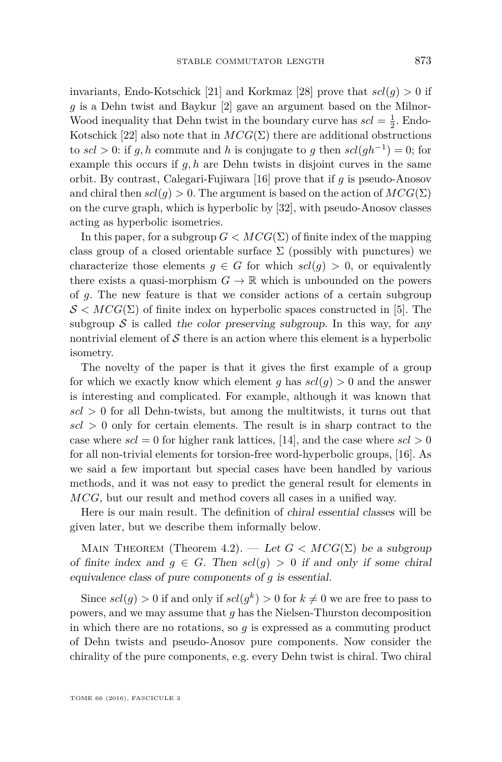invariants, Endo-Kotschick [\[21\]](#page-27-4) and Korkmaz [\[28\]](#page-28-1) prove that  $\text{sel}(q) > 0$  if *g* is a Dehn twist and Baykur [\[2\]](#page-26-0) gave an argument based on the Milnor-Wood inequality that Dehn twist in the boundary curve has  $\mathit{scl} = \frac{1}{2}$ . Endo-Kotschick [\[22\]](#page-27-1) also note that in  $MCG(\Sigma)$  there are additional obstructions to  $scl > 0$ : if  $g, h$  commute and  $h$  is conjugate to  $g$  then  $scl(gh^{-1}) = 0$ ; for example this occurs if *g, h* are Dehn twists in disjoint curves in the same orbit. By contrast, Calegari-Fujiwara [\[16\]](#page-27-5) prove that if *g* is pseudo-Anosov and chiral then  $scl(q) > 0$ . The argument is based on the action of  $MCG(\Sigma)$ on the curve graph, which is hyperbolic by [\[32\]](#page-28-2), with pseudo-Anosov classes acting as hyperbolic isometries.

In this paper, for a subgroup  $G < MCG(\Sigma)$  of finite index of the mapping class group of a closed orientable surface  $\Sigma$  (possibly with punctures) we characterize those elements  $g \in G$  for which  $scl(g) > 0$ , or equivalently there exists a quasi-morphism  $G \to \mathbb{R}$  which is unbounded on the powers of *g*. The new feature is that we consider actions of a certain subgroup  $S < MCG(\Sigma)$  of finite index on hyperbolic spaces constructed in [\[5\]](#page-27-6). The subgroup  $S$  is called the color preserving subgroup. In this way, for any nontrivial element of  $S$  there is an action where this element is a hyperbolic isometry.

The novelty of the paper is that it gives the first example of a group for which we exactly know which element *g* has  $\text{sel}(q) > 0$  and the answer is interesting and complicated. For example, although it was known that  $\vert \mathcal{S} \vert > 0$  for all Dehn-twists, but among the multitwists, it turns out that  $\vert scl \rangle > 0$  only for certain elements. The result is in sharp contract to the case where  $scl = 0$  for higher rank lattices, [\[14\]](#page-27-7), and the case where  $scl > 0$ for all non-trivial elements for torsion-free word-hyperbolic groups, [\[16\]](#page-27-5). As we said a few important but special cases have been handled by various methods, and it was not easy to predict the general result for elements in *MCG*, but our result and method covers all cases in a unified way.

Here is our main result. The definition of chiral essential classes will be given later, but we describe them informally below.

MAIN THEOREM (Theorem [4.2\)](#page-17-0). — Let  $G < MCG(\Sigma)$  be a subgroup of finite index and  $g \in G$ . Then  $scl(g) > 0$  if and only if some chiral equivalence class of pure components of *g* is essential.

Since  $scl(g) > 0$  if and only if  $scl(g^k) > 0$  for  $k \neq 0$  we are free to pass to powers, and we may assume that *g* has the Nielsen-Thurston decomposition in which there are no rotations, so *g* is expressed as a commuting product of Dehn twists and pseudo-Anosov pure components. Now consider the chirality of the pure components, e.g. every Dehn twist is chiral. Two chiral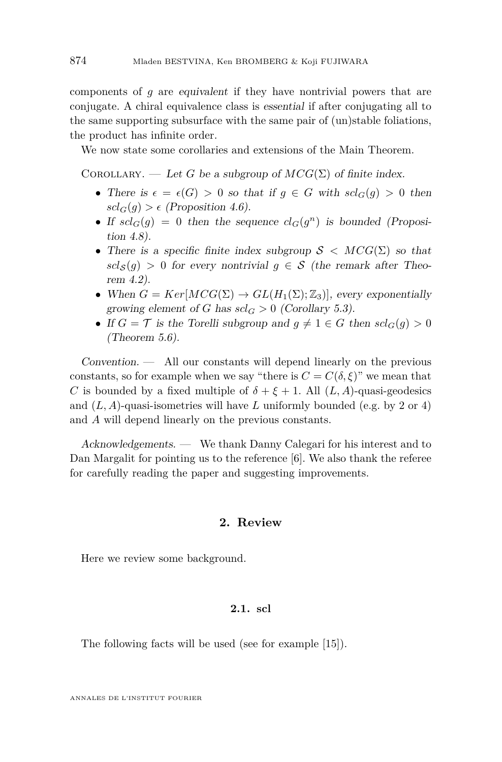components of *g* are equivalent if they have nontrivial powers that are conjugate. A chiral equivalence class is essential if after conjugating all to the same supporting subsurface with the same pair of (un)stable foliations, the product has infinite order.

We now state some corollaries and extensions of the Main Theorem.

COROLLARY. — Let *G* be a subgroup of  $MCG(\Sigma)$  of finite index.

- There is  $\epsilon = \epsilon(G) > 0$  so that if  $g \in G$  with  $scl_G(g) > 0$  then  $scl_G(q) > \epsilon$  (Proposition [4.6\)](#page-21-0).
- If  $scl_G(g) = 0$  then the sequence  $cl_G(g^n)$  is bounded (Proposition [4.8\)](#page-23-0).
- There is a specific finite index subgroup  $S < MCG(\Sigma)$  so that  $scl_S(q) > 0$  for every nontrivial  $q \in S$  (the remark after Theorem [4.2\)](#page-17-0).
- When  $G = Ker[MCG(\Sigma) \rightarrow GL(H_1(\Sigma);\mathbb{Z}_3)]$ , every exponentially growing element of *G* has  $scl_G > 0$  (Corollary [5.3\)](#page-25-0).
- If  $G = \mathcal{T}$  is the Torelli subgroup and  $q \neq 1 \in G$  then  $scl_G(q) > 0$ (Theorem [5.6\)](#page-26-1).

 $Convention.$  — All our constants will depend linearly on the previous constants, so for example when we say "there is  $C = C(\delta, \xi)$ " we mean that *C* is bounded by a fixed multiple of  $\delta + \xi + 1$ . All  $(L, A)$ -quasi-geodesics and  $(L, A)$ -quasi-isometries will have L uniformly bounded (e.g. by 2 or 4) and *A* will depend linearly on the previous constants.

Acknowledgements. — We thank Danny Calegari for his interest and to Dan Margalit for pointing us to the reference [\[6\]](#page-27-8). We also thank the referee for carefully reading the paper and suggesting improvements.

#### **2. Review**

Here we review some background.

#### **2.1. scl**

The following facts will be used (see for example [\[15\]](#page-27-0)).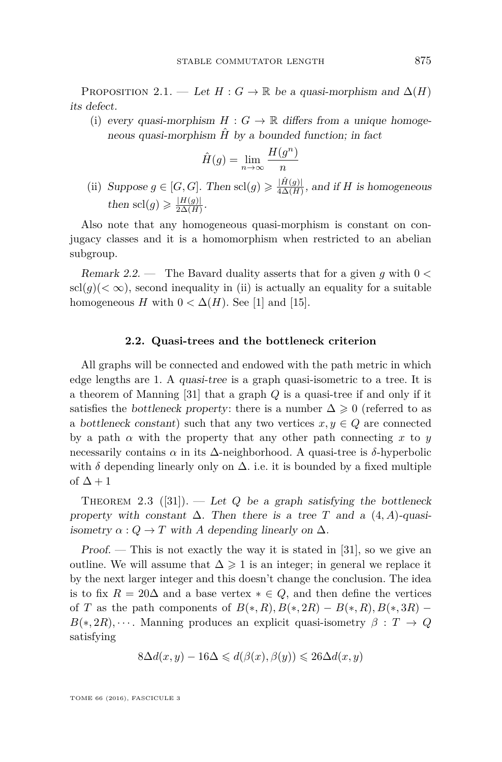<span id="page-5-1"></span>PROPOSITION 2.1. — Let  $H: G \to \mathbb{R}$  be a quasi-morphism and  $\Delta(H)$ its defect.

(i) every quasi-morphism  $H: G \to \mathbb{R}$  differs from a unique homogeneous quasi-morphism  $\hat{H}$  by a bounded function; in fact

$$
\hat{H}(g) = \lim_{n \to \infty} \frac{H(g^n)}{n}
$$

(ii) Suppose  $g \in [G, G]$ . Then scl $(g) \geq \frac{|\hat{H}(g)|}{4\Delta(H)}$  $\frac{H(g)}{4\Delta(H)}$ , and if *H* is homogeneous then  $\text{sel}(g) \geqslant \frac{|H(g)|}{2\Delta(H)}$  $rac{|H(g)|}{2\Delta(H)}$ .

Also note that any homogeneous quasi-morphism is constant on conjugacy classes and it is a homomorphism when restricted to an abelian subgroup.

Remark 2.2. — The Bavard duality asserts that for a given *g* with 0 *<*  $\text{scl}(g)(<\infty)$ , second inequality in (ii) is actually an equality for a suitable homogeneous *H* with  $0 < \Delta(H)$ . See [\[1\]](#page-26-2) and [\[15\]](#page-27-0).

#### **2.2. Quasi-trees and the bottleneck criterion**

<span id="page-5-0"></span>All graphs will be connected and endowed with the path metric in which edge lengths are 1. A quasi-tree is a graph quasi-isometric to a tree. It is a theorem of Manning [\[31\]](#page-28-3) that a graph *Q* is a quasi-tree if and only if it satisfies the bottleneck property: there is a number  $\Delta \geq 0$  (referred to as a bottleneck constant) such that any two vertices  $x, y \in Q$  are connected by a path  $\alpha$  with the property that any other path connecting  $x$  to  $y$ necessarily contains *α* in its ∆-neighborhood. A quasi-tree is *δ*-hyperbolic with  $\delta$  depending linearly only on  $\Delta$ . i.e. it is bounded by a fixed multiple of  $\Delta + 1$ 

THEOREM 2.3 ([\[31\]](#page-28-3)). — Let *Q* be a graph satisfying the bottleneck property with constant  $\Delta$ . Then there is a tree *T* and a  $(4, A)$ -quasiisometry  $\alpha$  :  $Q \to T$  with A depending linearly on  $\Delta$ .

Proof.  $-$  This is not exactly the way it is stated in [\[31\]](#page-28-3), so we give an outline. We will assume that  $\Delta \geq 1$  is an integer; in general we replace it by the next larger integer and this doesn't change the conclusion. The idea is to fix  $R = 20\Delta$  and a base vertex  $* \in Q$ , and then define the vertices of *T* as the path components of  $B(*, R), B(*, 2R) - B(*, R), B(*, 3R) B(*, 2R), \cdots$ . Manning produces an explicit quasi-isometry  $\beta : T \to Q$ satisfying

$$
8\Delta d(x,y) - 16\Delta \leq d(\beta(x), \beta(y)) \leq 26\Delta d(x,y)
$$

TOME 66 (2016), FASCICULE 3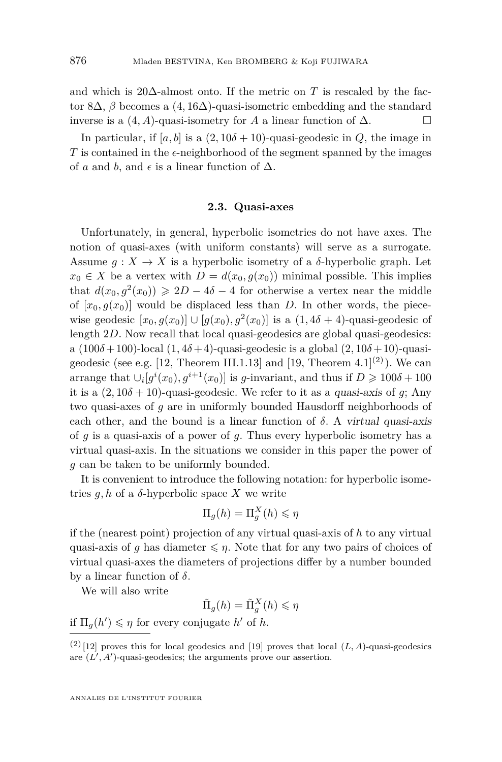and which is 20 $\Delta$ -almost onto. If the metric on *T* is rescaled by the factor 8∆, *β* becomes a (4*,* 16∆)-quasi-isometric embedding and the standard inverse is a  $(4, A)$ -quasi-isometry for *A* a linear function of  $\Delta$ .

In particular, if  $[a, b]$  is a  $(2, 10\delta + 10)$ -quasi-geodesic in *Q*, the image in *T* is contained in the  $\epsilon$ -neighborhood of the segment spanned by the images of *a* and *b*, and  $\epsilon$  is a linear function of  $\Delta$ .

#### **2.3. Quasi-axes**

Unfortunately, in general, hyperbolic isometries do not have axes. The notion of quasi-axes (with uniform constants) will serve as a surrogate. Assume  $q: X \to X$  is a hyperbolic isometry of a *δ*-hyperbolic graph. Let  $x_0 \in X$  be a vertex with  $D = d(x_0, g(x_0))$  minimal possible. This implies that  $d(x_0, g^2(x_0)) \ge 2D - 4\delta - 4$  for otherwise a vertex near the middle of  $[x_0, g(x_0)]$  would be displaced less than *D*. In other words, the piecewise geodesic  $[x_0, g(x_0)] \cup [g(x_0), g^2(x_0)]$  is a  $(1, 4\delta + 4)$ -quasi-geodesic of length 2*D*. Now recall that local quasi-geodesics are global quasi-geodesics: a  $(100\delta + 100)$ -local  $(1, 4\delta + 4)$ -quasi-geodesic is a global  $(2, 10\delta + 10)$ -quasi-geodesic (see e.g. [\[12,](#page-27-9) Theorem III.1.13] and [\[19,](#page-27-10) Theorem 4.1]<sup>(2)</sup>). We can arrange that  $\bigcup_i [g^i(x_0), g^{i+1}(x_0)]$  is *g*-invariant, and thus if  $D \ge 100\delta + 100$ it is a  $(2, 10\delta + 10)$ -quasi-geodesic. We refer to it as a quasi-axis of q; Any two quasi-axes of *g* are in uniformly bounded Hausdorff neighborhoods of each other, and the bound is a linear function of  $\delta$ . A virtual quasi-axis of *g* is a quasi-axis of a power of *g*. Thus every hyperbolic isometry has a virtual quasi-axis. In the situations we consider in this paper the power of *g* can be taken to be uniformly bounded.

It is convenient to introduce the following notation: for hyperbolic isometries  $q, h$  of a  $\delta$ -hyperbolic space X we write

$$
\Pi_g(h) = \Pi_g^X(h) \leqslant \eta
$$

if the (nearest point) projection of any virtual quasi-axis of *h* to any virtual quasi-axis of *g* has diameter  $\leq \eta$ . Note that for any two pairs of choices of virtual quasi-axes the diameters of projections differ by a number bounded by a linear function of *δ*.

We will also write

$$
\tilde{\Pi}_g(h) = \tilde{\Pi}_g^X(h) \leqslant \eta
$$

if  $\Pi_g(h') \leq \eta$  for every conjugate  $h'$  of  $h$ .

 $(2)$  [\[12\]](#page-27-9) proves this for local geodesics and [\[19\]](#page-27-10) proves that local  $(L, A)$ -quasi-geodesics are  $(L', A')$ -quasi-geodesics; the arguments prove our assertion.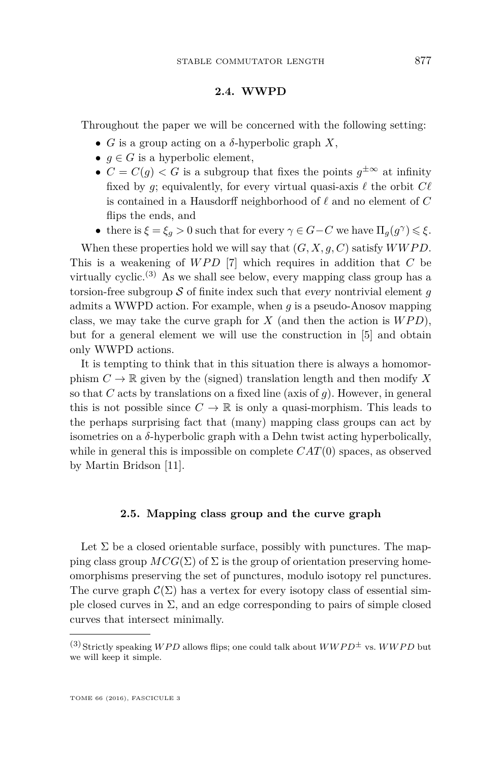#### **2.4. WWPD**

Throughout the paper we will be concerned with the following setting:

- $\bullet$  *G* is a group acting on a *δ*-hyperbolic graph *X*,
- $q \in G$  is a hyperbolic element,
- $C = C(g) < G$  is a subgroup that fixes the points  $g^{\pm \infty}$  at infinity fixed by *g*; equivalently, for every virtual quasi-axis  $\ell$  the orbit  $C\ell$ is contained in a Hausdorff neighborhood of  $\ell$  and no element of  $C$ flips the ends, and
- there is  $\xi = \xi_g > 0$  such that for every  $\gamma \in G C$  we have  $\Pi_g(g^{\gamma}) \leq \xi$ .

When these properties hold we will say that  $(G, X, q, C)$  satisfy  $WWPD$ . This is a weakening of *WPD* [\[7\]](#page-27-11) which requires in addition that *C* be virtually cyclic.<sup>(3)</sup> As we shall see below, every mapping class group has a torsion-free subgroup  $S$  of finite index such that every nontrivial element  $q$ admits a WWPD action. For example, when *g* is a pseudo-Anosov mapping class, we may take the curve graph for  $X$  (and then the action is  $WPD$ ), but for a general element we will use the construction in [\[5\]](#page-27-6) and obtain only WWPD actions.

It is tempting to think that in this situation there is always a homomorphism  $C \to \mathbb{R}$  given by the (signed) translation length and then modify X so that *C* acts by translations on a fixed line (axis of  $q$ ). However, in general this is not possible since  $C \to \mathbb{R}$  is only a quasi-morphism. This leads to the perhaps surprising fact that (many) mapping class groups can act by isometries on a *δ*-hyperbolic graph with a Dehn twist acting hyperbolically, while in general this is impossible on complete *CAT*(0) spaces, as observed by Martin Bridson [\[11\]](#page-27-12).

#### **2.5. Mapping class group and the curve graph**

Let  $\Sigma$  be a closed orientable surface, possibly with punctures. The mapping class group  $MCG(\Sigma)$  of  $\Sigma$  is the group of orientation preserving homeomorphisms preserving the set of punctures, modulo isotopy rel punctures. The curve graph  $\mathcal{C}(\Sigma)$  has a vertex for every isotopy class of essential simple closed curves in  $\Sigma$ , and an edge corresponding to pairs of simple closed curves that intersect minimally.

<sup>&</sup>lt;sup>(3)</sup> Strictly speaking *WPD* allows flips; one could talk about  $WWPD^{\pm}$  vs.  $WWPD$  but we will keep it simple.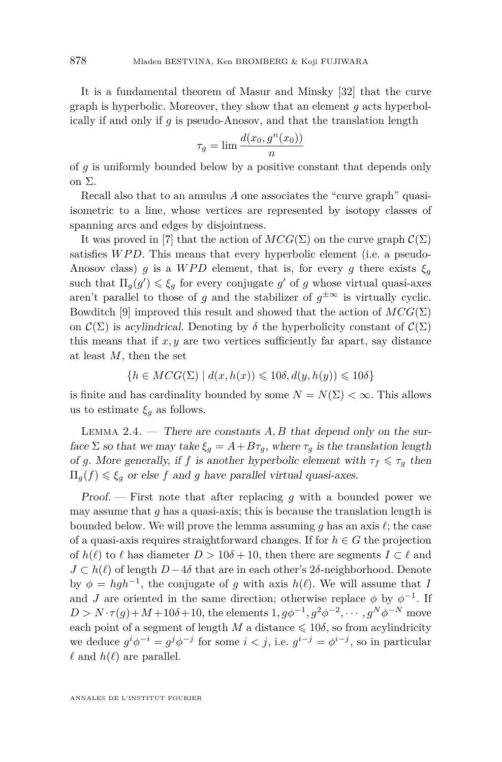It is a fundamental theorem of Masur and Minsky [\[32\]](#page-28-2) that the curve graph is hyperbolic. Moreover, they show that an element *g* acts hyperbolically if and only if *g* is pseudo-Anosov, and that the translation length

$$
\tau_g = \lim \frac{d(x_0, g^n(x_0))}{n}
$$

of *g* is uniformly bounded below by a positive constant that depends only on Σ.

Recall also that to an annulus *A* one associates the "curve graph" quasiisometric to a line, whose vertices are represented by isotopy classes of spanning arcs and edges by disjointness.

It was proved in [\[7\]](#page-27-11) that the action of  $MCG(\Sigma)$  on the curve graph  $\mathcal{C}(\Sigma)$ satisfies *WPD*. This means that every hyperbolic element (i.e. a pseudo-Anosov class) *g* is a *WPD* element, that is, for every *g* there exists  $\xi_q$ such that  $\Pi_g(g') \leq \xi_g$  for every conjugate  $g'$  of  $g$  whose virtual quasi-axes aren't parallel to those of *g* and the stabilizer of  $g^{\pm \infty}$  is virtually cyclic. Bowditch [\[9\]](#page-27-13) improved this result and showed that the action of  $MCG(\Sigma)$ on  $\mathcal{C}(\Sigma)$  is acylindrical. Denoting by  $\delta$  the hyperbolicity constant of  $\mathcal{C}(\Sigma)$ this means that if  $x, y$  are two vertices sufficiently far apart, say distance at least *M*, then the set

$$
\{h \in MCG(\Sigma) \mid d(x, h(x)) \leq 10\delta, d(y, h(y)) \leq 10\delta\}
$$

is finite and has cardinality bounded by some  $N = N(\Sigma) < \infty$ . This allows us to estimate  $\xi_g$  as follows.

<span id="page-8-0"></span>LEMMA 2.4.  $\blacksquare$  There are constants A, B that depend only on the surface  $\Sigma$  so that we may take  $\xi_q = A + B\tau_q$ , where  $\tau_q$  is the translation length of *g*. More generally, if *f* is another hyperbolic element with  $\tau_f \leq \tau_g$  then  $\Pi_q(f) \leq \xi_q$  or else *f* and *g* have parallel virtual quasi-axes.

Proof. — First note that after replacing *g* with a bounded power we may assume that *g* has a quasi-axis; this is because the translation length is bounded below. We will prove the lemma assuming  $g$  has an axis  $\ell$ ; the case of a quasi-axis requires straightforward changes. If for  $h \in G$  the projection of  $h(\ell)$  to  $\ell$  has diameter  $D > 10\delta + 10$ , then there are segments  $I \subset \ell$  and  $J \subset h(\ell)$  of length  $D-4\delta$  that are in each other's  $2\delta$ -neighborhood. Denote by  $\phi = hgh^{-1}$ , the conjugate of *g* with axis  $h(\ell)$ . We will assume that *I* and *J* are oriented in the same direction; otherwise replace  $\phi$  by  $\phi^{-1}$ . If  $D > N \cdot \tau(g) + M + 10\delta + 10$ , the elements  $1, g\phi^{-1}, g^2\phi^{-2}, \dots, g^N\phi^{-N}$  move each point of a segment of length *M* a distance  $\leq 10\delta$ , so from acylindricity we deduce  $g^{i}\phi^{-i} = g^{j}\phi^{-j}$  for some  $i < j$ , i.e.  $g^{i-j} = \phi^{i-j}$ , so in particular  $\ell$  and  $h(\ell)$  are parallel.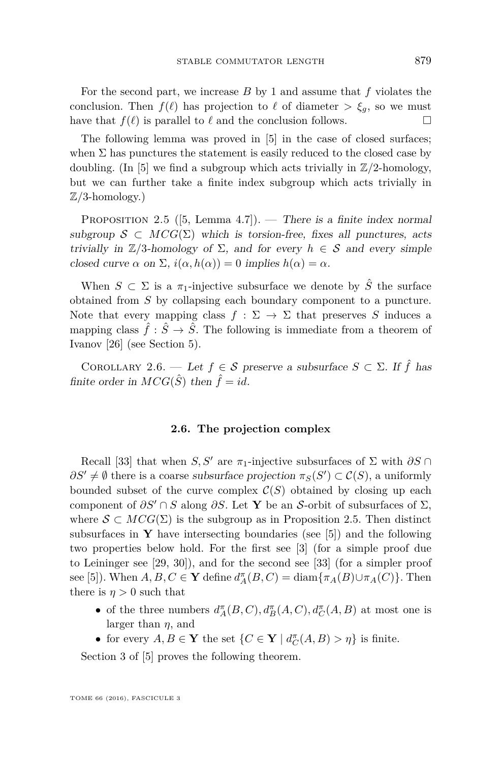For the second part, we increase *B* by 1 and assume that *f* violates the conclusion. Then  $f(\ell)$  has projection to  $\ell$  of diameter  $>\xi_q$ , so we must have that  $f(\ell)$  is parallel to  $\ell$  and the conclusion follows.

The following lemma was proved in [\[5\]](#page-27-6) in the case of closed surfaces; when  $\Sigma$  has punctures the statement is easily reduced to the closed case by doubling. (In [\[5\]](#page-27-6) we find a subgroup which acts trivially in  $\mathbb{Z}/2$ -homology, but we can further take a finite index subgroup which acts trivially in Z*/*3-homology.)

<span id="page-9-0"></span>PROPOSITION 2.5 ([\[5,](#page-27-6) Lemma 4.7]). — There is a finite index normal subgroup  $S \subset MCG(\Sigma)$  which is torsion-free, fixes all punctures, acts trivially in  $\mathbb{Z}/3$ -homology of  $\Sigma$ , and for every *h*  $\in$  S and every simple closed curve  $\alpha$  on  $\Sigma$ ,  $i(\alpha, h(\alpha)) = 0$  implies  $h(\alpha) = \alpha$ .

When  $S \subset \Sigma$  is a  $\pi_1$ -injective subsurface we denote by  $\hat{S}$  the surface obtained from *S* by collapsing each boundary component to a puncture. Note that every mapping class  $f : \Sigma \to \Sigma$  that preserves *S* induces a mapping class  $\hat{f}: \hat{S} \to \hat{S}$ . The following is immediate from a theorem of Ivanov [\[26\]](#page-28-4) (see Section [5\)](#page-24-0).

<span id="page-9-1"></span>COROLLARY 2.6. — Let  $f \in \mathcal{S}$  preserve a subsurface  $S \subset \Sigma$ . If  $\hat{f}$  has finite order in  $MCG(\hat{S})$  then  $\hat{f} = id$ .

#### **2.6. The projection complex**

Recall [\[33\]](#page-28-5) that when *S, S'* are  $\pi_1$ -injective subsurfaces of  $\Sigma$  with  $\partial S \cap$  $\partial S' \neq \emptyset$  there is a coarse subsurface projection  $\pi_S(S') \subset C(S)$ , a uniformly bounded subset of the curve complex  $\mathcal{C}(S)$  obtained by closing up each component of  $\partial S' \cap S$  along  $\partial S$ . Let **Y** be an S-orbit of subsurfaces of  $\Sigma$ , where  $S \subset MCG(\Sigma)$  is the subgroup as in Proposition [2.5.](#page-9-0) Then distinct subsurfaces in **Y** have intersecting boundaries (see  $[5]$ ) and the following two properties below hold. For the first see [\[3\]](#page-26-3) (for a simple proof due to Leininger see [\[29,](#page-28-6) [30\]](#page-28-7)), and for the second see [\[33\]](#page-28-5) (for a simpler proof see [\[5\]](#page-27-6)). When  $A, B, C \in \mathbf{Y}$  define  $d_A^{\pi}(B, C) = \text{diam}\{\pi_A(B) \cup \pi_A(C)\}\$ . Then there is  $\eta > 0$  such that

- of the three numbers  $d_A^{\pi}(B, C), d_B^{\pi}(A, C), d_C^{\pi}(A, B)$  at most one is larger than *η*, and
- for every  $A, B \in \mathbf{Y}$  the set  $\{C \in \mathbf{Y} \mid d_C^{\pi}(A, B) > \eta\}$  is finite.

Section 3 of [\[5\]](#page-27-6) proves the following theorem.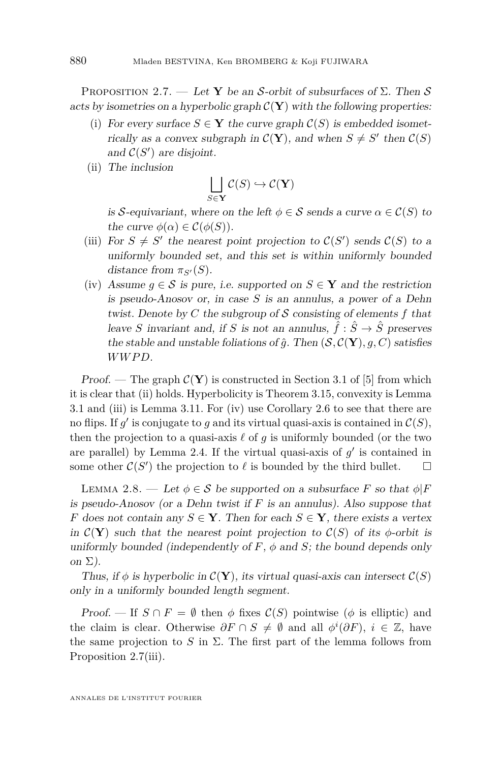<span id="page-10-0"></span>PROPOSITION 2.7. — Let **Y** be an S-orbit of subsurfaces of  $\Sigma$ . Then S acts by isometries on a hyperbolic graph  $\mathcal{C}(\mathbf{Y})$  with the following properties:

- (i) For every surface  $S \in Y$  the curve graph  $\mathcal{C}(S)$  is embedded isometrically as a convex subgraph in  $\mathcal{C}(\mathbf{Y})$ , and when  $S \neq S'$  then  $\mathcal{C}(S)$ and  $C(S')$  are disjoint.
- (ii) The inclusion

$$
\bigsqcup_{S\in\mathbf{Y}}\mathcal{C}(S)\hookrightarrow\mathcal{C}(\mathbf{Y})
$$

is S-equivariant, where on the left  $\phi \in \mathcal{S}$  sends a curve  $\alpha \in \mathcal{C}(S)$  to the curve  $\phi(\alpha) \in C(\phi(S)).$ 

- (iii) For  $S \neq S'$  the nearest point projection to  $C(S')$  sends  $C(S)$  to a uniformly bounded set, and this set is within uniformly bounded distance from  $\pi_{S'}(S)$ .
- (iv) Assume  $q \in \mathcal{S}$  is pure, i.e. supported on  $S \in \mathbf{Y}$  and the restriction is pseudo-Anosov or, in case *S* is an annulus, a power of a Dehn twist. Denote by *C* the subgroup of S consisting of elements *f* that leave *S* invariant and, if *S* is not an annulus,  $\hat{f}: \hat{S} \to \hat{S}$  preserves the stable and unstable foliations of  $\hat{q}$ . Then  $(\mathcal{S}, \mathcal{C}(\mathbf{Y}), q, C)$  satisfies *WW P D*.

Proof. — The graph  $\mathcal{C}(\mathbf{Y})$  is constructed in Section 3.1 of [\[5\]](#page-27-6) from which it is clear that (ii) holds. Hyperbolicity is Theorem 3.15, convexity is Lemma 3.1 and (iii) is Lemma 3.11. For (iv) use Corollary [2.6](#page-9-1) to see that there are no flips. If  $g'$  is conjugate to  $g$  and its virtual quasi-axis is contained in  $\mathcal{C}(S)$ , then the projection to a quasi-axis  $\ell$  of  $q$  is uniformly bounded (or the two are parallel) by Lemma [2.4.](#page-8-0) If the virtual quasi-axis of  $g'$  is contained in some other  $C(S')$  the projection to  $\ell$  is bounded by the third bullet.  $\square$ 

<span id="page-10-1"></span>LEMMA 2.8. — Let  $\phi \in \mathcal{S}$  be supported on a subsurface *F* so that  $\phi|F$ is pseudo-Anosov (or a Dehn twist if *F* is an annulus). Also suppose that *F* does not contain any  $S \in \mathbf{Y}$ . Then for each  $S \in \mathbf{Y}$ , there exists a vertex in  $\mathcal{C}(\mathbf{Y})$  such that the nearest point projection to  $\mathcal{C}(S)$  of its  $\phi$ -orbit is uniformly bounded (independently of  $F$ ,  $\phi$  and  $S$ ; the bound depends only on  $\Sigma$ ).

Thus, if  $\phi$  is hyperbolic in  $\mathcal{C}(\mathbf{Y})$ , its virtual quasi-axis can intersect  $\mathcal{C}(S)$ only in a uniformly bounded length segment.

Proof. — If  $S \cap F = \emptyset$  then  $\phi$  fixes  $\mathcal{C}(S)$  pointwise ( $\phi$  is elliptic) and the claim is clear. Otherwise  $\partial F \cap S \neq \emptyset$  and all  $\phi^i(\partial F)$ ,  $i \in \mathbb{Z}$ , have the same projection to *S* in  $\Sigma$ . The first part of the lemma follows from Proposition [2.7\(](#page-10-0)iii).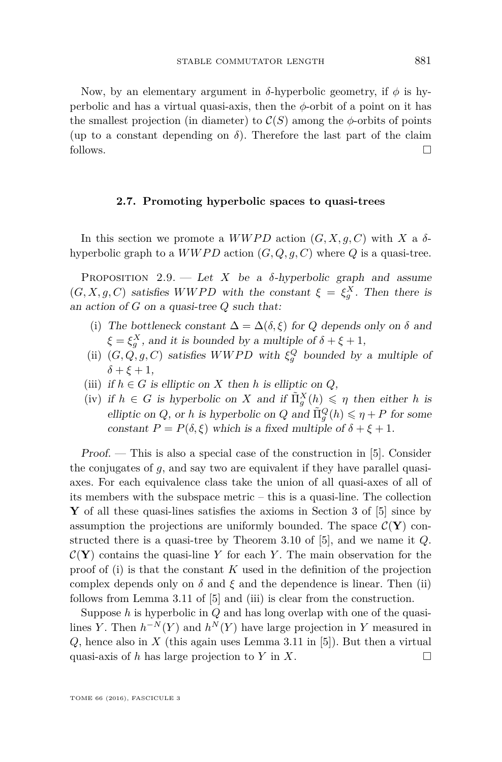Now, by an elementary argument in *δ*-hyperbolic geometry, if  $φ$  is hyperbolic and has a virtual quasi-axis, then the *φ*-orbit of a point on it has the smallest projection (in diameter) to  $\mathcal{C}(S)$  among the  $\phi$ -orbits of points (up to a constant depending on  $\delta$ ). Therefore the last part of the claim follows.

#### **2.7. Promoting hyperbolic spaces to quasi-trees**

In this section we promote a  $WWPD$  action  $(G, X, q, C)$  with X a  $\delta$ hyperbolic graph to a  $WWPD$  action  $(G, Q, g, C)$  where  $Q$  is a quasi-tree.

<span id="page-11-0"></span>PROPOSITION 2.9. — Let *X* be a  $\delta$ -hyperbolic graph and assume  $(G, X, g, C)$  satisfies *WWPD* with the constant  $\xi = \xi_g^X$ . Then there is an action of *G* on a quasi-tree *Q* such that:

- (i) The bottleneck constant  $\Delta = \Delta(\delta, \xi)$  for *Q* depends only on  $\delta$  and  $\xi = \xi_g^X$ , and it is bounded by a multiple of  $\delta + \xi + 1$ ,
- (ii)  $(G, Q, g, C)$  satisfies *WWPD* with  $\xi_g^Q$  bounded by a multiple of  $\delta + \xi + 1$ ,
- (iii) if  $h \in G$  is elliptic on *X* then *h* is elliptic on *Q*,
- (iv) if  $h \in G$  is hyperbolic on *X* and if  $\tilde{\Pi}_{g}^{X}(h) \leq \eta$  then either *h* is elliptic on *Q*, or *h* is hyperbolic on *Q* and  $\tilde{\Pi}_g^Q(h) \leq \eta + P$  for some constant  $P = P(\delta, \xi)$  which is a fixed multiple of  $\delta + \xi + 1$ .

Proof. — This is also a special case of the construction in [\[5\]](#page-27-6). Consider the conjugates of *g*, and say two are equivalent if they have parallel quasiaxes. For each equivalence class take the union of all quasi-axes of all of its members with the subspace metric – this is a quasi-line. The collection **Y** of all these quasi-lines satisfies the axioms in Section 3 of [\[5\]](#page-27-6) since by assumption the projections are uniformly bounded. The space  $\mathcal{C}(\mathbf{Y})$  constructed there is a quasi-tree by Theorem 3.10 of [\[5\]](#page-27-6), and we name it *Q*.  $C(Y)$  contains the quasi-line *Y* for each *Y*. The main observation for the proof of (i) is that the constant *K* used in the definition of the projection complex depends only on  $\delta$  and  $\xi$  and the dependence is linear. Then (ii) follows from Lemma 3.11 of [\[5\]](#page-27-6) and (iii) is clear from the construction.

Suppose *h* is hyperbolic in *Q* and has long overlap with one of the quasilines *Y*. Then  $h^{-N}(Y)$  and  $h^{N}(Y)$  have large projection in *Y* measured in *Q*, hence also in *X* (this again uses Lemma 3.11 in [\[5\]](#page-27-6)). But then a virtual quasi-axis of *h* has large projection to *Y* in *X*.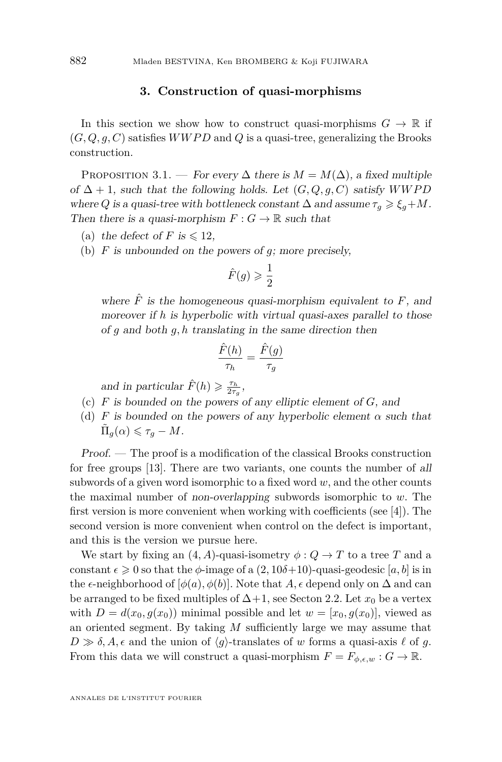#### **3. Construction of quasi-morphisms**

In this section we show how to construct quasi-morphisms  $G \to \mathbb{R}$  if  $(G, Q, q, C)$  satisfies *WWPD* and *Q* is a quasi-tree, generalizing the Brooks construction.

<span id="page-12-0"></span>PROPOSITION 3.1. — For every  $\Delta$  there is  $M = M(\Delta)$ , a fixed multiple of  $\Delta + 1$ , such that the following holds. Let  $(G, Q, g, C)$  satisfy *WWPD* where *Q* is a quasi-tree with bottleneck constant  $\Delta$  and assume  $\tau_g \geq \xi_g + M$ . Then there is a quasi-morphism  $F: G \to \mathbb{R}$  such that

- (a) the defect of *F* is  $\leq 12$ ,
- (b) *F* is unbounded on the powers of *g*; more precisely,

$$
\hat{F}(g) \geqslant \frac{1}{2}
$$

where  $\hat{F}$  is the homogeneous quasi-morphism equivalent to  $F$ , and moreover if *h* is hyperbolic with virtual quasi-axes parallel to those of *g* and both *g, h* translating in the same direction then

$$
\frac{\hat{F}(h)}{\tau_h} = \frac{\hat{F}(g)}{\tau_g}
$$

and in particular  $\hat{F}(h) \ge \frac{\tau_h}{2\tau_g}$ ,

- (c) *F* is bounded on the powers of any elliptic element of *G*, and
- (d) *F* is bounded on the powers of any hyperbolic element  $\alpha$  such that  $\tilde{\Pi}_g(\alpha) \leqslant \tau_g - M.$

Proof. — The proof is a modification of the classical Brooks construction for free groups [\[13\]](#page-27-2). There are two variants, one counts the number of all subwords of a given word isomorphic to a fixed word *w*, and the other counts the maximal number of non-overlapping subwords isomorphic to *w*. The first version is more convenient when working with coefficients (see [\[4\]](#page-27-14)). The second version is more convenient when control on the defect is important, and this is the version we pursue here.

We start by fixing an  $(4, A)$ -quasi-isometry  $\phi : Q \to T$  to a tree *T* and a constant  $\epsilon \geq 0$  so that the  $\phi$ -image of a  $(2, 10\delta+10)$ -quasi-geodesic [a, b] is in the  $\epsilon$ -neighborhood of  $[\phi(a), \phi(b)]$ . Note that *A*,  $\epsilon$  depend only on  $\Delta$  and can be arranged to be fixed multiples of  $\Delta+1$ , see Secton [2.2.](#page-5-0) Let  $x_0$  be a vertex with  $D = d(x_0, q(x_0))$  minimal possible and let  $w = [x_0, q(x_0)]$ , viewed as an oriented segment. By taking *M* sufficiently large we may assume that  $D \gg \delta$ , A,  $\epsilon$  and the union of  $\langle g \rangle$ -translates of *w* forms a quasi-axis  $\ell$  of *g*. From this data we will construct a quasi-morphism  $F = F_{\phi, \epsilon, w} : G \to \mathbb{R}$ .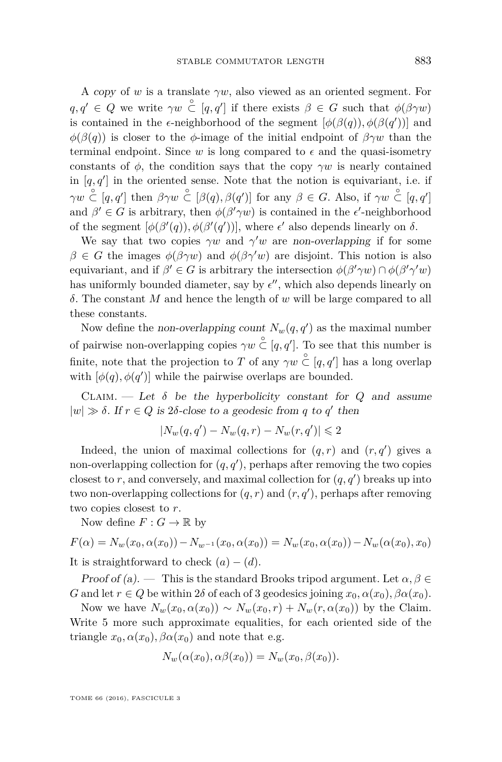A copy of *w* is a translate *γw*, also viewed as an oriented segment. For  $q, q' \in Q$  we write  $\gamma w \in [q, q']$  if there exists  $\beta \in G$  such that  $\phi(\beta \gamma w)$ is contained in the  $\epsilon$ -neighborhood of the segment  $[\phi(\beta(q)), \phi(\beta(q'))]$  and  $\phi(\beta(q))$  is closer to the *φ*-image of the initial endpoint of  $\beta\gamma w$  than the terminal endpoint. Since *w* is long compared to  $\epsilon$  and the quasi-isometry constants of  $\phi$ , the condition says that the copy  $\gamma w$  is nearly contained in  $[q, q']$  in the oriented sense. Note that the notion is equivariant, i.e. if  $\gamma w \stackrel{\circ}{\subset} [q, q']$  then  $\beta \gamma w \stackrel{\circ}{\subset} [\beta(q), \beta(q')]$  for any  $\beta \in G$ . Also, if  $\gamma w \stackrel{\circ}{\subset} [q, q']$ and  $\beta' \in G$  is arbitrary, then  $\phi(\beta' \gamma w)$  is contained in the  $\epsilon'$ -neighborhood of the segment  $[\phi(\beta'(q)), \phi(\beta'(q'))]$ , where  $\epsilon'$  also depends linearly on  $\delta$ .

We say that two copies  $\gamma w$  and  $\gamma' w$  are non-overlapping if for some *β* ∈ *G* the images  $φ(βγw)$  and  $φ(βγ'w)$  are disjoint. This notion is also equivariant, and if  $\beta' \in G$  is arbitrary the intersection  $\phi(\beta' \gamma w) \cap \phi(\beta' \gamma' w)$ has uniformly bounded diameter, say by  $\epsilon''$ , which also depends linearly on *δ*. The constant *M* and hence the length of *w* will be large compared to all these constants.

Now define the non-overlapping count  $N_w(q, q')$  as the maximal number of pairwise non-overlapping copies  $\gamma w \overset{\circ}{\subset} [q, q']$ . To see that this number is finite, note that the projection to *T* of any  $\gamma w \overset{\circ}{\subset} [q, q']$  has a long overlap with  $[\phi(q), \phi(q')]$  while the pairwise overlaps are bounded.

CLAIM. — Let  $\delta$  be the hyperbolicity constant for  $Q$  and assume  $|w| \gg \delta$ . If  $r \in Q$  is 2 $\delta$ -close to a geodesic from *q* to *q*' then

$$
|N_w(q,q') - N_w(q,r) - N_w(r,q')| \leq 2
$$

Indeed, the union of maximal collections for  $(q, r)$  and  $(r, q')$  gives a non-overlapping collection for  $(q, q')$ , perhaps after removing the two copies closest to  $r$ , and conversely, and maximal collection for  $(q, q')$  breaks up into two non-overlapping collections for  $(q, r)$  and  $(r, q')$ , perhaps after removing two copies closest to *r*.

Now define  $F: G \to \mathbb{R}$  by

$$
F(\alpha) = N_w(x_0, \alpha(x_0)) - N_{w^{-1}}(x_0, \alpha(x_0)) = N_w(x_0, \alpha(x_0)) - N_w(\alpha(x_0), x_0)
$$
  
It is straightforward to check  $(a) - (d)$ .

Proof of (a). — This is the standard Brooks tripod argument. Let  $\alpha, \beta \in$ *G* and let  $r \in Q$  be within 2*δ* of each of 3 geodesics joining  $x_0, \alpha(x_0), \beta \alpha(x_0)$ .

Now we have  $N_w(x_0, \alpha(x_0)) \sim N_w(x_0, r) + N_w(r, \alpha(x_0))$  by the Claim. Write 5 more such approximate equalities, for each oriented side of the triangle  $x_0, \alpha(x_0), \beta\alpha(x_0)$  and note that e.g.

$$
N_w(\alpha(x_0), \alpha\beta(x_0)) = N_w(x_0, \beta(x_0)).
$$

TOME 66 (2016), FASCICULE 3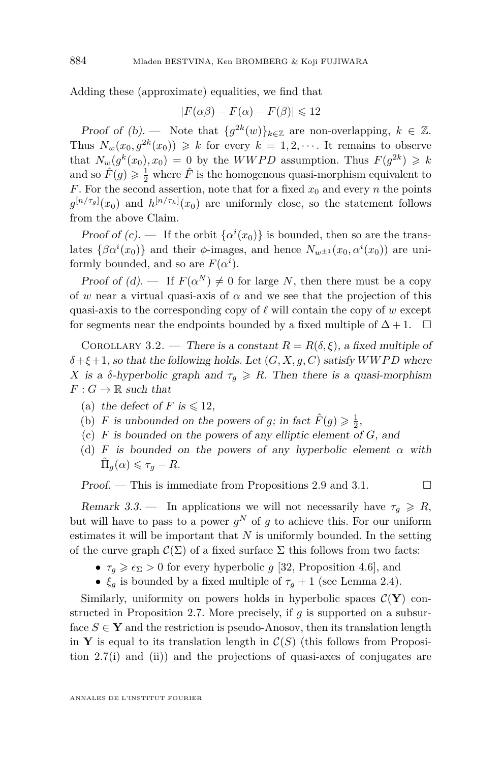Adding these (approximate) equalities, we find that

$$
|F(\alpha \beta) - F(\alpha) - F(\beta)| \leq 12
$$

Proof of (b). — Note that  ${g^{2k}(w)}_{k \in \mathbb{Z}}$  are non-overlapping,  $k \in \mathbb{Z}$ . Thus  $N_w(x_0, g^{2k}(x_0)) \geq k$  for every  $k = 1, 2, \cdots$ . It remains to observe that  $N_w(g^k(x_0), x_0) = 0$  by the *WWPD* assumption. Thus  $F(g^{2k}) \geq k$ and so  $\hat{F}(g) \geq \frac{1}{2}$  where  $\hat{F}$  is the homogenous quasi-morphism equivalent to *F*. For the second assertion, note that for a fixed  $x_0$  and every *n* the points  $g^{[n/\tau_g]}(x_0)$  and  $h^{[n/\tau_h]}(x_0)$  are uniformly close, so the statement follows from the above Claim.

Proof of (c). — If the orbit  $\{\alpha^i(x_0)\}\$ is bounded, then so are the translates  $\{\beta \alpha^{i}(x_0)\}\$  and their  $\phi$ -images, and hence  $N_{w^{\pm 1}}(x_0, \alpha^{i}(x_0))$  are uniformly bounded, and so are  $F(\alpha^i)$ .

Proof of (d). — If  $F(\alpha^N) \neq 0$  for large *N*, then there must be a copy of *w* near a virtual quasi-axis of  $\alpha$  and we see that the projection of this quasi-axis to the corresponding copy of  $\ell$  will contain the copy of  $w$  except for segments near the endpoints bounded by a fixed multiple of  $\Delta + 1$ .  $\Box$ 

<span id="page-14-0"></span>COROLLARY 3.2. — There is a constant  $R = R(\delta, \xi)$ , a fixed multiple of  $\delta$  +  $\xi$  + 1, so that the following holds. Let  $(G, X, g, C)$  satisfy *WWPD* where *X* is a *δ*-hyperbolic graph and  $\tau_q \ge R$ . Then there is a quasi-morphism  $F: G \to \mathbb{R}$  such that

- (a) the defect of *F* is  $\leq 12$ ,
- (b) *F* is unbounded on the powers of *g*; in fact  $\hat{F}(g) \ge \frac{1}{2}$ ,
- (c) *F* is bounded on the powers of any elliptic element of *G*, and
- (d) *F* is bounded on the powers of any hyperbolic element *α* with  $\tilde{\Pi}_g(\alpha) \leq \tau_g - R.$

Proof. — This is immediate from Propositions [2.9](#page-11-0) and [3.1.](#page-12-0)  $\Box$ 

<span id="page-14-1"></span>Remark 3.3. — In applications we will not necessarily have  $\tau_q \ge R$ , but will have to pass to a power  $g^N$  of  $g$  to achieve this. For our uniform estimates it will be important that *N* is uniformly bounded. In the setting

- of the curve graph  $\mathcal{C}(\Sigma)$  of a fixed surface  $\Sigma$  this follows from two facts:
	- $\tau_g \geq \epsilon_\Sigma > 0$  for every hyperbolic *g* [\[32,](#page-28-2) Proposition 4.6], and •  $\xi_g$  is bounded by a fixed multiple of  $\tau_g + 1$  (see Lemma [2.4\)](#page-8-0).

Similarly, uniformity on powers holds in hyperbolic spaces  $\mathcal{C}(\mathbf{Y})$  constructed in Proposition [2.7.](#page-10-0) More precisely, if *g* is supported on a subsurface  $S \in \mathbf{Y}$  and the restriction is pseudo-Anosov, then its translation length in **Y** is equal to its translation length in  $\mathcal{C}(S)$  (this follows from Proposition [2.7\(](#page-10-0)i) and (ii)) and the projections of quasi-axes of conjugates are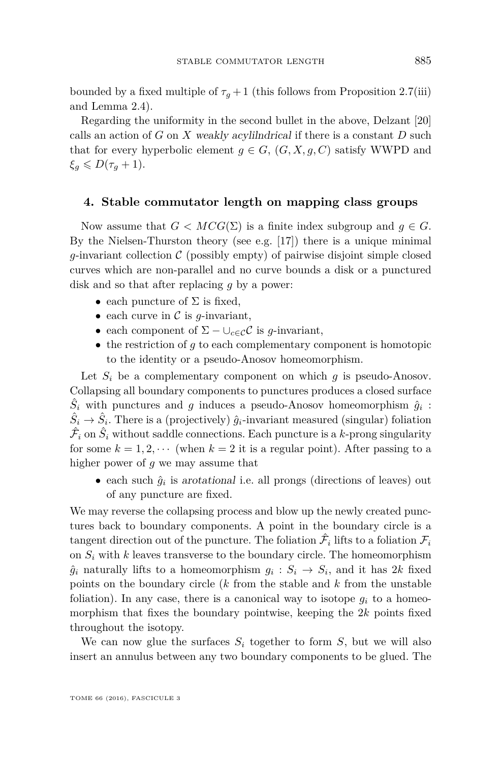bounded by a fixed multiple of  $\tau_g + 1$  (this follows from Proposition [2.7\(](#page-10-0)iii) and Lemma [2.4\)](#page-8-0).

Regarding the uniformity in the second bullet in the above, Delzant [\[20\]](#page-27-15) calls an action of *G* on *X* weakly acylilndrical if there is a constant *D* such that for every hyperbolic element  $g \in G$ ,  $(G, X, g, C)$  satisfy WWPD and  $\xi_q \leqslant D(\tau_q+1).$ 

#### <span id="page-15-0"></span>**4. Stable commutator length on mapping class groups**

Now assume that  $G < MCG(\Sigma)$  is a finite index subgroup and  $g \in G$ . By the Nielsen-Thurston theory (see e.g. [\[17\]](#page-27-16)) there is a unique minimal *g*-invariant collection  $\mathcal C$  (possibly empty) of pairwise disjoint simple closed curves which are non-parallel and no curve bounds a disk or a punctured disk and so that after replacing *g* by a power:

- each puncture of  $\Sigma$  is fixed,
- each curve in  $\mathcal C$  is  $q$ -invariant,
- each component of  $\Sigma \cup_{c \in \mathcal{C}} C$  is *g*-invariant,
- the restriction of *q* to each complementary component is homotopic to the identity or a pseudo-Anosov homeomorphism.

Let  $S_i$  be a complementary component on which  $g$  is pseudo-Anosov. Collapsing all boundary components to punctures produces a closed surface  $\hat{S}_i$  with punctures and *g* induces a pseudo-Anosov homeomorphism  $\hat{g}_i$ :  $\hat{S}_i \rightarrow \hat{S}_i$ . There is a (projectively)  $\hat{g}_i$ -invariant measured (singular) foliation  $\hat{\mathcal{F}}_i$  on  $\hat{S}_i$  without saddle connections. Each puncture is a  $k$ -prong singularity for some  $k = 1, 2, \cdots$  (when  $k = 2$  it is a regular point). After passing to a higher power of *g* we may assume that

• each such  $\hat{g}_i$  is arotational i.e. all prongs (directions of leaves) out of any puncture are fixed.

We may reverse the collapsing process and blow up the newly created punctures back to boundary components. A point in the boundary circle is a tangent direction out of the puncture. The foliation  $\hat{\mathcal{F}}_i$  lifts to a foliation  $\mathcal{F}_i$ on  $S_i$  with  $k$  leaves transverse to the boundary circle. The homeomorphism  $\hat{g}_i$  naturally lifts to a homeomorphism  $g_i : S_i \to S_i$ , and it has 2*k* fixed points on the boundary circle (*k* from the stable and *k* from the unstable foliation). In any case, there is a canonical way to isotope  $g_i$  to a homeomorphism that fixes the boundary pointwise, keeping the 2*k* points fixed throughout the isotopy.

We can now glue the surfaces  $S_i$  together to form  $S$ , but we will also insert an annulus between any two boundary components to be glued. The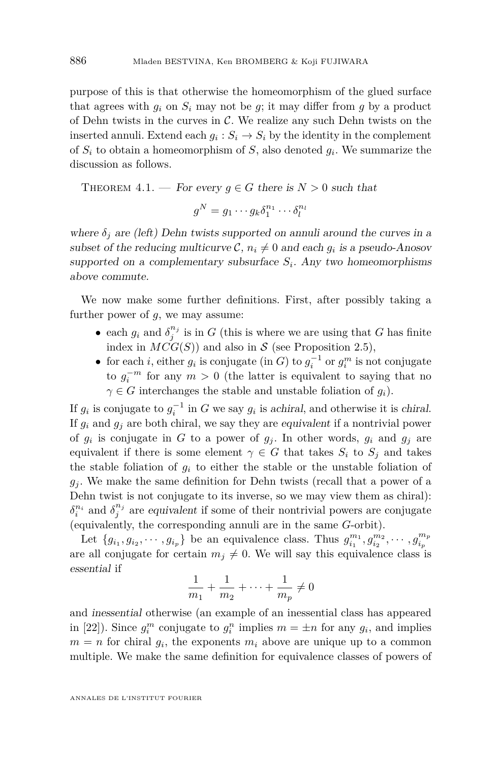purpose of this is that otherwise the homeomorphism of the glued surface that agrees with  $g_i$  on  $S_i$  may not be  $g$ ; it may differ from  $g$  by a product of Dehn twists in the curves in  $\mathcal{C}$ . We realize any such Dehn twists on the inserted annuli. Extend each  $g_i : S_i \to S_i$  by the identity in the complement of *S<sup>i</sup>* to obtain a homeomorphism of *S*, also denoted *g<sup>i</sup>* . We summarize the discussion as follows.

THEOREM 4.1. — For every 
$$
g \in G
$$
 there is  $N > 0$  such that

$$
g^N = g_1 \cdots g_k \delta_1^{n_1} \cdots \delta_l^{n_l}
$$

where  $\delta_j$  are (left) Dehn twists supported on annuli around the curves in a subset of the reducing multicurve  $C$ ,  $n_i \neq 0$  and each  $g_i$  is a pseudo-Anosov supported on a complementary subsurface *S<sup>i</sup>* . Any two homeomorphisms above commute.

We now make some further definitions. First, after possibly taking a further power of *g*, we may assume:

- each  $g_i$  and  $\delta_j^{n_j}$  is in  $G$  (this is where we are using that  $G$  has finite index in  $MCG(S)$ ) and also in S (see Proposition [2.5\)](#page-9-0),
- for each *i*, either  $g_i$  is conjugate (in *G*) to  $g_i^{-1}$  or  $g_i^m$  is not conjugate to  $g_i^{-m}$  for any  $m > 0$  (the latter is equivalent to saying that no  $\gamma \in G$  interchanges the stable and unstable foliation of  $g_i$ ).

If  $g_i$  is conjugate to  $g_i^{-1}$  in *G* we say  $g_i$  is achiral, and otherwise it is chiral. If  $g_i$  and  $g_j$  are both chiral, we say they are equivalent if a nontrivial power of  $g_i$  is conjugate in  $G$  to a power of  $g_j$ . In other words,  $g_i$  and  $g_j$  are equivalent if there is some element  $\gamma \in G$  that takes  $S_i$  to  $S_j$  and takes the stable foliation of  $g_i$  to either the stable or the unstable foliation of  $g_i$ . We make the same definition for Dehn twists (recall that a power of a Dehn twist is not conjugate to its inverse, so we may view them as chiral):  $\delta_i^{n_i}$  and  $\delta_j^{n_j}$  are equivalent if some of their nontrivial powers are conjugate (equivalently, the corresponding annuli are in the same *G*-orbit).

Let  $\{g_{i_1}, g_{i_2}, \cdots, g_{i_p}\}\)$  be an equivalence class. Thus  $g_{i_1}^{m_1}, g_{i_2}^{m_2}, \cdots, g_{i_p}^{m_p}$ *ip* are all conjugate for certain  $m_j \neq 0$ . We will say this equivalence class is essential if

$$
\frac{1}{m_1} + \frac{1}{m_2} + \dots + \frac{1}{m_p} \neq 0
$$

and inessential otherwise (an example of an inessential class has appeared in [\[22\]](#page-27-1)). Since  $g_i^m$  conjugate to  $g_i^n$  implies  $m = \pm n$  for any  $g_i$ , and implies  $m = n$  for chiral  $g_i$ , the exponents  $m_i$  above are unique up to a common multiple. We make the same definition for equivalence classes of powers of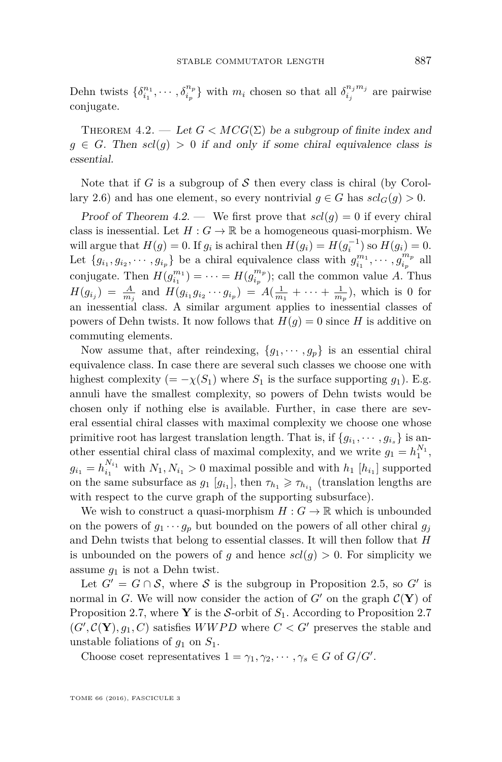Dehn twists  $\{\delta_{i_1}^{n_1}, \cdots, \delta_{i_p}^{n_p}\}$  with  $m_i$  chosen so that all  $\delta_{i_j}^{n_j m_j}$  $\sum_{i_j}^{n_j m_j}$  are pairwise conjugate.

<span id="page-17-0"></span>THEOREM 4.2. — Let  $G < MCG(\Sigma)$  be a subgroup of finite index and  $g \in G$ . Then  $scl(g) > 0$  if and only if some chiral equivalence class is essential.

Note that if *G* is a subgroup of  $S$  then every class is chiral (by Corol-lary [2.6\)](#page-9-1) and has one element, so every nontrivial  $g \in G$  has  $scl_G(g) > 0$ .

Proof of Theorem [4.2.](#page-17-0) — We first prove that  $\operatorname{scl}(q) = 0$  if every chiral class is inessential. Let  $H: G \to \mathbb{R}$  be a homogeneous quasi-morphism. We will argue that  $H(g) = 0$ . If  $g_i$  is achiral then  $H(g_i) = H(g_i^{-1})$  so  $H(g_i) = 0$ . Let  $\{g_{i_1}, g_{i_2}, \cdots, g_{i_p}\}\)$  be a chiral equivalence class with  $g_{i_1}^{m_1}, \cdots, g_{i_p}^{m_p}$  $\int_{i_p}^{m_p}$  all conjugate. Then  $H(g_{i_1}^{m_1}) = \cdots = H(g_{i_p}^{m_p})$  $\binom{m_p}{i_p}$ ; call the common value *A*. Thus  $H(g_{i_j}) = \frac{A}{m_j}$  and  $H(g_{i_1}g_{i_2}\cdots g_{i_p}) = A(\frac{1}{m_1} + \cdots + \frac{1}{m_p}),$  which is 0 for an inessential class. A similar argument applies to inessential classes of powers of Dehn twists. It now follows that  $H(g) = 0$  since *H* is additive on commuting elements.

Now assume that, after reindexing,  $\{g_1, \dots, g_p\}$  is an essential chiral equivalence class. In case there are several such classes we choose one with highest complexity (=  $-\chi(S_1)$  where  $S_1$  is the surface supporting  $g_1$ ). E.g. annuli have the smallest complexity, so powers of Dehn twists would be chosen only if nothing else is available. Further, in case there are several essential chiral classes with maximal complexity we choose one whose primitive root has largest translation length. That is, if  ${g_{i_1}, \dots, g_{i_s}}$  is another essential chiral class of maximal complexity, and we write  $g_1 = h_1^{N_1}$ ,  $g_{i_1} = h_{i_1}^{N_{i_1}}$  with  $N_1, N_{i_1} > 0$  maximal possible and with  $h_1$  [ $h_{i_1}$ ] supported on the same subsurface as  $g_1$  [ $g_{i_1}$ ], then  $\tau_{h_1} \geq \tau_{h_{i_1}}$  (translation lengths are with respect to the curve graph of the supporting subsurface).

We wish to construct a quasi-morphism  $H: G \to \mathbb{R}$  which is unbounded on the powers of  $g_1 \cdots g_p$  but bounded on the powers of all other chiral  $g_j$ and Dehn twists that belong to essential classes. It will then follow that *H* is unbounded on the powers of *g* and hence  $scl(g) > 0$ . For simplicity we assume *g*<sup>1</sup> is not a Dehn twist.

Let  $G' = G \cap S$ , where S is the subgroup in Proposition [2.5,](#page-9-0) so G' is normal in *G*. We will now consider the action of  $G'$  on the graph  $\mathcal{C}(\mathbf{Y})$  of Proposition [2.7,](#page-10-0) where **Y** is the S-orbit of  $S<sub>1</sub>$ . According to Proposition [2.7](#page-10-0)  $(G', \mathcal{C}(\mathbf{Y}), g_1, C)$  satisfies *WWPD* where  $C < G'$  preserves the stable and unstable foliations of  $q_1$  on  $S_1$ .

Choose coset representatives  $1 = \gamma_1, \gamma_2, \cdots, \gamma_s \in G$  of  $G/G'$ .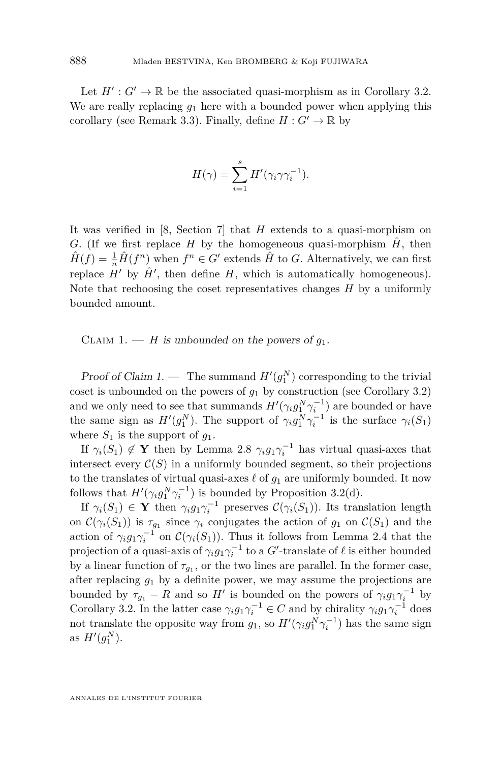Let  $H': G' \to \mathbb{R}$  be the associated quasi-morphism as in Corollary [3.2.](#page-14-0) We are really replacing  $g_1$  here with a bounded power when applying this corollary (see Remark [3.3\)](#page-14-1). Finally, define  $H: G' \to \mathbb{R}$  by

$$
H(\gamma) = \sum_{i=1}^{s} H'(\gamma_i \gamma \gamma_i^{-1}).
$$

It was verified in [\[8,](#page-27-17) Section 7] that *H* extends to a quasi-morphism on *G*. (If we first replace *H* by the homogeneous quasi-morphism  $H$ , then  $\hat{H}(f) = \frac{1}{n}\hat{H}(f^n)$  when  $f^n \in G'$  extends  $\hat{H}$  to *G*. Alternatively, we can first replace  $H'$  by  $\hat{H}'$ , then define  $H$ , which is automatically homogeneous). Note that rechoosing the coset representatives changes *H* by a uniformly bounded amount.

CLAIM 1. — *H* is unbounded on the powers of  $g_1$ .

Proof of Claim 1. — The summand  $H'(g_1^N)$  corresponding to the trivial coset is unbounded on the powers of  $g_1$  by construction (see Corollary [3.2\)](#page-14-0) and we only need to see that summands  $H'(\gamma_i g_1^N \gamma_i^{-1})$  are bounded or have the same sign as  $H'(g_1^N)$ . The support of  $\gamma_i g_1^N \gamma_i^{-1}$  is the surface  $\gamma_i(S_1)$ where  $S_1$  is the support of  $g_1$ .

If  $\gamma_i(S_1) \notin \mathbf{Y}$  then by Lemma [2.8](#page-10-1)  $\gamma_i g_1 \gamma_i^{-1}$  has virtual quasi-axes that intersect every  $C(S)$  in a uniformly bounded segment, so their projections to the translates of virtual quasi-axes  $\ell$  of  $g_1$  are uniformly bounded. It now follows that  $H'(\gamma_i g_1^N \gamma_i^{-1})$  is bounded by Proposition [3.2\(](#page-14-0)d).

If  $\gamma_i(S_1) \in \mathbf{Y}$  then  $\gamma_i g_1 \gamma_i^{-1}$  preserves  $\mathcal{C}(\gamma_i(S_1))$ . Its translation length on  $\mathcal{C}(\gamma_i(S_1))$  is  $\tau_{g_1}$  since  $\gamma_i$  conjugates the action of  $g_1$  on  $\mathcal{C}(S_1)$  and the action of  $\gamma_i g_1 \gamma_i^{-1}$  on  $\mathcal{C}(\gamma_i(S_1))$ . Thus it follows from Lemma [2.4](#page-8-0) that the projection of a quasi-axis of  $\gamma_i g_1 \gamma_i^{-1}$  to a  $G'$ -translate of  $\ell$  is either bounded by a linear function of  $\tau_{g_1}$ , or the two lines are parallel. In the former case, after replacing *g*<sup>1</sup> by a definite power, we may assume the projections are bounded by  $\tau_{g_1} - R$  and so  $H'$  is bounded on the powers of  $\gamma_i g_1 \gamma_i^{-1}$  by Corollary [3.2.](#page-14-0) In the latter case  $\gamma_i g_1 \gamma_i^{-1} \in C$  and by chirality  $\gamma_i g_1 \gamma_i^{-1}$  does not translate the opposite way from  $g_1$ , so  $H'(\gamma_i g_1^N \gamma_i^{-1})$  has the same sign as  $H'(g_1^N)$ .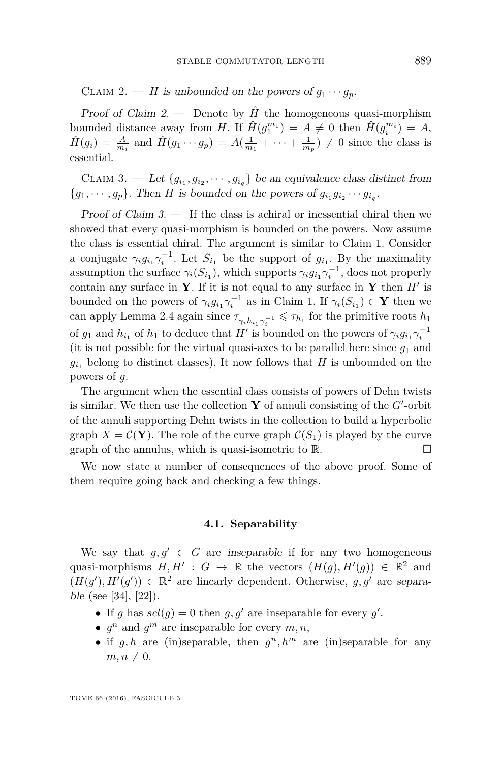CLAIM 2. — *H* is unbounded on the powers of  $g_1 \cdots g_p$ .

Proof of Claim 2. — Denote by  $\hat{H}$  the homogeneous quasi-morphism bounded distance away from *H*. If  $\hat{H}(g_1^{m_1}) = A \neq 0$  then  $\hat{H}(g_i^{m_i}) = A$ ,  $\hat{H}(g_i) = \frac{A}{m_i}$  and  $\hat{H}(g_1 \cdots g_p) = A(\frac{1}{m_1} + \cdots + \frac{1}{m_p}) \neq 0$  since the class is essential.

CLAIM 3. — Let  ${g_{i_1}, g_{i_2}, \cdots, g_{i_q}}$  be an equivalence class distinct from  ${g_1, \dots, g_p}$ . Then *H* is bounded on the powers of  $g_{i_1}g_{i_2}\cdots g_{i_q}$ .

Proof of Claim  $3.$  — If the class is achiral or inessential chiral then we showed that every quasi-morphism is bounded on the powers. Now assume the class is essential chiral. The argument is similar to Claim 1. Consider a conjugate  $\gamma_i g_{i_1} \gamma_i^{-1}$ . Let  $S_{i_1}$  be the support of  $g_{i_1}$ . By the maximality assumption the surface  $\gamma_i(S_{i_1})$ , which supports  $\gamma_i g_{i_1} \gamma_i^{-1}$ , does not properly contain any surface in **Y**. If it is not equal to any surface in **Y** then  $H'$  is bounded on the powers of  $\gamma_i g_{i_1} \gamma_i^{-1}$  as in Claim 1. If  $\gamma_i(S_{i_1}) \in \mathbf{Y}$  then we can apply Lemma [2.4](#page-8-0) again since  $\tau_{\gamma_i h_{i_1} \gamma_i^{-1}} \leq \tau_{h_1}$  for the primitive roots  $h_1$ of  $g_1$  and  $h_{i_1}$  of  $h_1$  to deduce that  $H'$  is bounded on the powers of  $\gamma_i g_{i_1} \gamma_i^{-1}$ (it is not possible for the virtual quasi-axes to be parallel here since  $g_1$  and  $g_{i_1}$  belong to distinct classes). It now follows that *H* is unbounded on the powers of *g*.

The argument when the essential class consists of powers of Dehn twists is similar. We then use the collection  $Y$  of annuli consisting of the  $G'$ -orbit of the annuli supporting Dehn twists in the collection to build a hyperbolic graph  $X = \mathcal{C}(\mathbf{Y})$ . The role of the curve graph  $\mathcal{C}(S_1)$  is played by the curve graph of the annulus, which is quasi-isometric to  $\mathbb{R}$ .

We now state a number of consequences of the above proof. Some of them require going back and checking a few things.

#### **4.1. Separability**

We say that  $g, g' \in G$  are inseparable if for any two homogeneous quasi-morphisms  $H, H' : G \to \mathbb{R}$  the vectors  $(H(g), H'(g)) \in \mathbb{R}^2$  and  $(H(g'), H'(g')) \in \mathbb{R}^2$  are linearly dependent. Otherwise, g, g' are separable (see [\[34\]](#page-28-8), [\[22\]](#page-27-1)).

- If *g* has  $scl(g) = 0$  then *g, g'* are inseparable for every *g'*.
- $g^n$  and  $g^m$  are inseparable for every  $m, n$ ,
- if  $g, h$  are (in)separable, then  $g^n, h^m$  are (in)separable for any  $m, n \neq 0.$

TOME 66 (2016), FASCICULE 3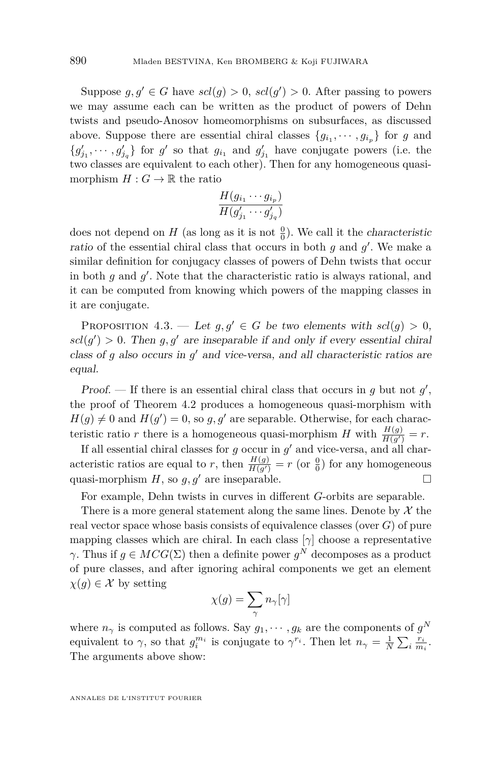Suppose  $g, g' \in G$  have  $scl(g) > 0$ ,  $scl(g') > 0$ . After passing to powers we may assume each can be written as the product of powers of Dehn twists and pseudo-Anosov homeomorphisms on subsurfaces, as discussed above. Suppose there are essential chiral classes  ${g_{i_1}, \dots, g_{i_p}}$  for *g* and  ${g'_{j_1}, \dots, g'_{j_q}}$  for *g*' so that  $g_{i_1}$  and  $g'_{j_1}$  have conjugate powers (i.e. the two classes are equivalent to each other). Then for any homogeneous quasimorphism  $H: G \to \mathbb{R}$  the ratio

$$
\frac{H(g_{i_1}\cdots g_{i_p})}{H(g'_{j_1}\cdots g'_{j_q})}
$$

does not depend on  $H$  (as long as it is not  $\frac{0}{0}$ ). We call it the *characteristic* ratio of the essential chiral class that occurs in both  $g$  and  $g'$ . We make a similar definition for conjugacy classes of powers of Dehn twists that occur in both  $g$  and  $g'$ . Note that the characteristic ratio is always rational, and it can be computed from knowing which powers of the mapping classes in it are conjugate.

PROPOSITION 4.3. — Let  $g, g' \in G$  be two elements with  $scl(g) > 0$ ,  $\text{gcd}(g') > 0$ . Then  $g, g'$  are inseparable if and only if every essential chiral class of  $g$  also occurs in  $g'$  and vice-versa, and all characteristic ratios are equal.

Proof. — If there is an essential chiral class that occurs in  $g$  but not  $g'$ , the proof of Theorem [4.2](#page-17-0) produces a homogeneous quasi-morphism with  $H(g) \neq 0$  and  $H(g') = 0$ , so  $g, g'$  are separable. Otherwise, for each characteristic ratio *r* there is a homogeneous quasi-morphism *H* with  $\frac{H(g)}{H(g')} = r$ .

If all essential chiral classes for  $g$  occur in  $g'$  and vice-versa, and all characteristic ratios are equal to *r*, then  $\frac{H(g)}{H(g')} = r$  (or  $\frac{0}{0}$ ) for any homogeneous quasi-morphism  $H$ , so  $g, g'$  are inseparable.

For example, Dehn twists in curves in different *G*-orbits are separable.

There is a more general statement along the same lines. Denote by  $\mathcal X$  the real vector space whose basis consists of equivalence classes (over *G*) of pure mapping classes which are chiral. In each class  $[\gamma]$  choose a representative *γ*. Thus if  $g \in MCG(\Sigma)$  then a definite power  $g^N$  decomposes as a product of pure classes, and after ignoring achiral components we get an element  $\chi(q) \in \mathcal{X}$  by setting

$$
\chi(g)=\sum_{\gamma}n_{\gamma}[\gamma]
$$

where  $n_{\gamma}$  is computed as follows. Say  $g_1, \dots, g_k$  are the components of  $g^N$ equivalent to  $\gamma$ , so that  $g_i^{m_i}$  is conjugate to  $\gamma^{r_i}$ . Then let  $n_\gamma = \frac{1}{N} \sum_i \frac{r_i}{m_i}$ . The arguments above show: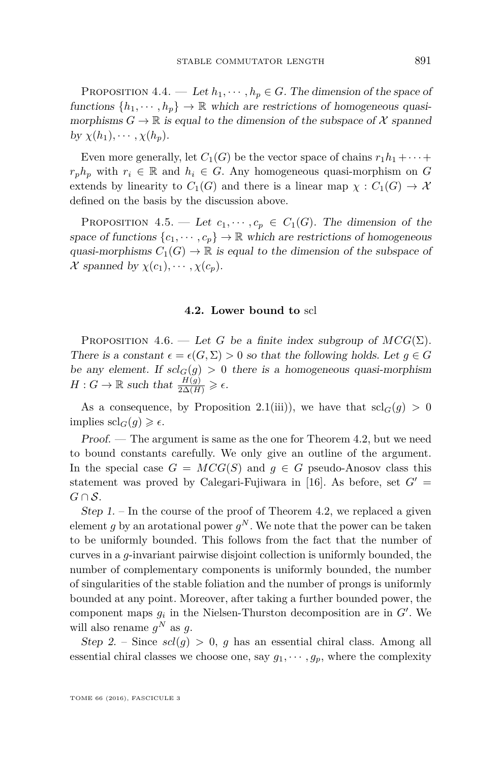<span id="page-21-1"></span>PROPOSITION 4.4. — Let  $h_1, \dots, h_p \in G$ . The dimension of the space of functions  $\{h_1, \dots, h_n\} \to \mathbb{R}$  which are restrictions of homogeneous quasimorphisms  $G \to \mathbb{R}$  is equal to the dimension of the subspace of X spanned by  $\chi(h_1), \cdots, \chi(h_p)$ .

Even more generally, let  $C_1(G)$  be the vector space of chains  $r_1h_1 + \cdots$  $r_p h_p$  with  $r_i \in \mathbb{R}$  and  $h_i \in G$ . Any homogeneous quasi-morphism on *G* extends by linearity to  $C_1(G)$  and there is a linear map  $\chi : C_1(G) \to \mathcal{X}$ defined on the basis by the discussion above.

PROPOSITION 4.5. — Let  $c_1, \dots, c_p \in C_1(G)$ . The dimension of the space of functions  $\{c_1, \dots, c_p\} \to \mathbb{R}$  which are restrictions of homogeneous quasi-morphisms  $C_1(G) \to \mathbb{R}$  is equal to the dimension of the subspace of  $\mathcal{X}$  *spanned by*  $\chi(c_1), \cdots, \chi(c_p)$ .

#### **4.2. Lower bound to** scl

<span id="page-21-0"></span>PROPOSITION 4.6. — Let *G* be a finite index subgroup of  $MCG(\Sigma)$ . There is a constant  $\epsilon = \epsilon(G, \Sigma) > 0$  so that the following holds. Let  $g \in G$ be any element. If  $scl_G(g) > 0$  there is a homogeneous quasi-morphism  $H: G \to \mathbb{R}$  such that  $\frac{H(g)}{2\Delta(H)} \geqslant \epsilon$ .

As a consequence, by Proposition [2.1\(](#page-5-1)iii)), we have that  $\mathrm{scl}_G(g) > 0$ implies  $\operatorname{sch}_G(g) \geqslant \epsilon$ .

Proof. — The argument is same as the one for Theorem [4.2,](#page-17-0) but we need to bound constants carefully. We only give an outline of the argument. In the special case  $G = MCG(S)$  and  $q \in G$  pseudo-Anosov class this statement was proved by Calegari-Fujiwara in [\[16\]](#page-27-5). As before, set  $G'$  =  $G \cap S$ .

Step  $1.$  – In the course of the proof of Theorem [4.2,](#page-17-0) we replaced a given element  $g$  by an arotational power  $g^N$ . We note that the power can be taken to be uniformly bounded. This follows from the fact that the number of curves in a *g*-invariant pairwise disjoint collection is uniformly bounded, the number of complementary components is uniformly bounded, the number of singularities of the stable foliation and the number of prongs is uniformly bounded at any point. Moreover, after taking a further bounded power, the component maps  $g_i$  in the Nielsen-Thurston decomposition are in  $G'$ . We will also rename  $g^N$  as  $g$ .

Step 2. – Since  $scl(g) > 0$ , *g* has an essential chiral class. Among all essential chiral classes we choose one, say  $g_1, \dots, g_p$ , where the complexity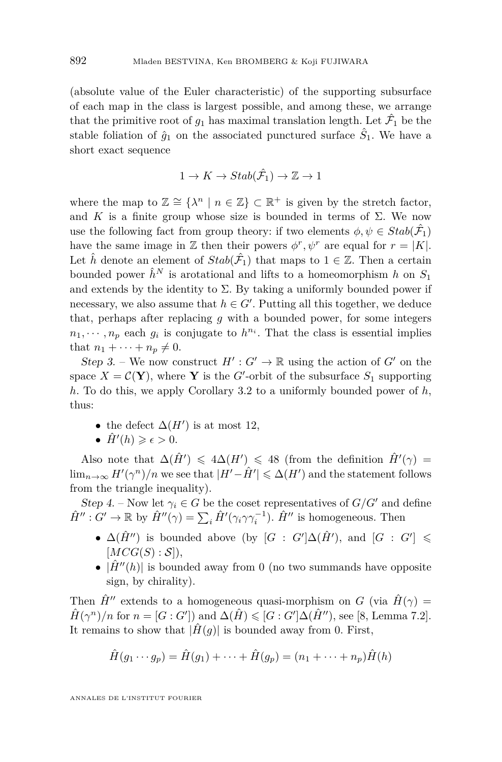(absolute value of the Euler characteristic) of the supporting subsurface of each map in the class is largest possible, and among these, we arrange that the primitive root of  $g_1$  has maximal translation length. Let  $\hat{\mathcal{F}}_1$  be the stable foliation of  $\hat{g}_1$  on the associated punctured surface  $\hat{S}_1$ . We have a short exact sequence

$$
1 \to K \to Stab(\hat{\mathcal{F}}_1) \to \mathbb{Z} \to 1
$$

where the map to  $\mathbb{Z} \cong {\lambda^n \mid n \in \mathbb{Z}} \subset \mathbb{R}^+$  is given by the stretch factor, and *K* is a finite group whose size is bounded in terms of  $\Sigma$ . We now use the following fact from group theory: if two elements  $\phi, \psi \in Stab(\hat{\mathcal{F}}_1)$ have the same image in Z then their powers  $\phi^r, \psi^r$  are equal for  $r = |K|$ . Let  $\hat{h}$  denote an element of  $Stab(\hat{\mathcal{F}}_1)$  that maps to  $1 \in \mathbb{Z}$ . Then a certain bounded power  $\hat{h}^N$  is arotational and lifts to a homeomorphism *h* on  $S_1$ and extends by the identity to  $\Sigma$ . By taking a uniformly bounded power if necessary, we also assume that  $h \in G'$ . Putting all this together, we deduce that, perhaps after replacing *g* with a bounded power, for some integers  $n_1, \dots, n_p$  each  $g_i$  is conjugate to  $h^{n_i}$ . That the class is essential implies that  $n_1 + \cdots + n_n \neq 0$ .

Step 3. – We now construct  $H': G' \to \mathbb{R}$  using the action of  $G'$  on the space  $X = \mathcal{C}(\mathbf{Y})$ , where **Y** is the *G*'-orbit of the subsurface  $S_1$  supporting *h*. To do this, we apply Corollary [3.2](#page-14-0) to a uniformly bounded power of *h*, thus:

- the defect  $\Delta(H')$  is at most 12,
- $\hat{H}'(h) \geqslant \epsilon > 0.$

Also note that  $\Delta(\hat{H}') \leq 4\Delta(H') \leq 48$  (from the definition  $\hat{H}'(\gamma) =$  $\lim_{n\to\infty} H'(\gamma^n)/n$  we see that  $|H'-\hat{H}'|\leq \Delta(H')$  and the statement follows from the triangle inequality).

Step 4. – Now let  $\gamma_i \in G$  be the coset representatives of  $G/G'$  and define  $\hat{H}''$ :  $G' \to \mathbb{R}$  by  $\hat{H}''(\gamma) = \sum_i \hat{H}'(\gamma_i \gamma \gamma_i^{-1})$ .  $\hat{H}''$  is homogeneous. Then

- $\Delta(\hat{H}^{\prime\prime})$  is bounded above (by  $[G : G'] \Delta(\hat{H}^{\prime})$ , and  $[G : G'] \le$  $[MCG(S):S]),$
- $|\hat{H}''(h)|$  is bounded away from 0 (no two summands have opposite sign, by chirality).

Then  $\hat{H}^{\prime\prime}$  extends to a homogeneous quasi-morphism on *G* (via  $\hat{H}(\gamma)$ ) =  $\hat{H}(\gamma^n)/n$  for  $n = [G:G']$  and  $\Delta(\hat{H}) \leq [G:G']\Delta(\hat{H}'')$ , see [\[8,](#page-27-17) Lemma 7.2]. It remains to show that  $|\hat{H}(q)|$  is bounded away from 0. First,

$$
\hat{H}(g_1 \cdots g_p) = \hat{H}(g_1) + \cdots + \hat{H}(g_p) = (n_1 + \cdots + n_p)\hat{H}(h)
$$

ANNALES DE L'INSTITUT FOURIER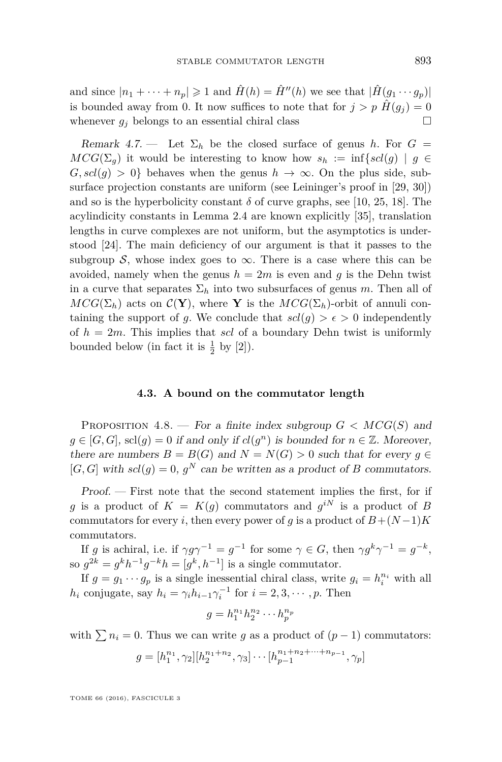and since  $|n_1 + \cdots + n_p| \geq 1$  and  $\hat{H}(h) = \hat{H}''(h)$  we see that  $|\hat{H}(g_1 \cdots g_p)|$ is bounded away from 0. It now suffices to note that for  $j > p \hat{H}(g_j) = 0$ whenever  $g_j$  belongs to an essential chiral class  $\square$ 

Remark 4.7. — Let  $\Sigma_h$  be the closed surface of genus *h*. For  $G =$  $MCG(\Sigma_q)$  it would be interesting to know how  $s_h := \inf\{scl(q) \mid q \in$  $G, \text{sel}(q) > 0$  behaves when the genus  $h \to \infty$ . On the plus side, subsurface projection constants are uniform (see Leininger's proof in [\[29,](#page-28-6) [30\]](#page-28-7)) and so is the hyperbolicity constant  $\delta$  of curve graphs, see [\[10,](#page-27-18) [25,](#page-28-9) [18\]](#page-27-19). The acylindicity constants in Lemma [2.4](#page-8-0) are known explicitly [\[35\]](#page-28-10), translation lengths in curve complexes are not uniform, but the asymptotics is understood [\[24\]](#page-27-20). The main deficiency of our argument is that it passes to the subgroup S, whose index goes to  $\infty$ . There is a case where this can be avoided, namely when the genus  $h = 2m$  is even and g is the Dehn twist in a curve that separates  $\Sigma_h$  into two subsurfaces of genus *m*. Then all of  $MCG(\Sigma_h)$  acts on  $\mathcal{C}(\mathbf{Y})$ , where **Y** is the  $MCG(\Sigma_h)$ -orbit of annuli containing the support of *g*. We conclude that  $scl(g) > \epsilon > 0$  independently of *h* = 2*m*. This implies that *scl* of a boundary Dehn twist is uniformly bounded below (in fact it is  $\frac{1}{2}$  by [\[2\]](#page-26-0)).

#### **4.3. A bound on the commutator length**

<span id="page-23-0"></span>PROPOSITION 4.8. — For a finite index subgroup  $G < MCG(S)$  and  $g \in [G, G]$ , scl $(g) = 0$  if and only if  $cl(g<sup>n</sup>)$  is bounded for  $n \in \mathbb{Z}$ . Moreover, there are numbers  $B = B(G)$  and  $N = N(G) > 0$  such that for every  $g \in$  $[G, G]$  with  $scl(g) = 0$ ,  $g^N$  can be written as a product of *B* commutators.

Proof. — First note that the second statement implies the first, for if *g* is a product of  $K = K(g)$  commutators and  $g^{iN}$  is a product of *B* commutators for every *i*, then every power of *g* is a product of  $B + (N-1)K$ commutators.

If *g* is achiral, i.e. if  $\gamma g \gamma^{-1} = g^{-1}$  for some  $\gamma \in G$ , then  $\gamma g^k \gamma^{-1} = g^{-k}$ , so  $g^{2k} = g^k h^{-1} g^{-k} h = [g^k, h^{-1}]$  is a single commutator.

If  $g = g_1 \cdots g_p$  is a single inessential chiral class, write  $g_i = h_i^{n_i}$  with all *h*<sub>*i*</sub> conjugate, say  $h_i = \gamma_i h_{i-1} \gamma_i^{-1}$  for  $i = 2, 3, \dots, p$ . Then

$$
g=h_1^{n_1}h_2^{n_2}\cdots h_p^{n_p}
$$

with  $\sum n_i = 0$ . Thus we can write *g* as a product of  $(p-1)$  commutators:

$$
g = [h_1^{n_1}, \gamma_2][h_2^{n_1+n_2}, \gamma_3] \cdots [h_{p-1}^{n_1+n_2+\cdots+n_{p-1}}, \gamma_p]
$$

TOME 66 (2016), FASCICULE 3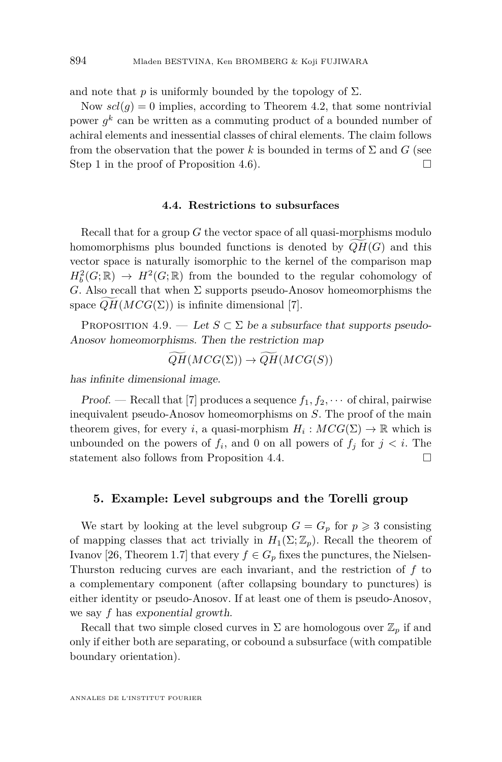and note that  $p$  is uniformly bounded by the topology of  $\Sigma$ .

Now  $\text{sel}(q) = 0$  implies, according to Theorem [4.2,](#page-17-0) that some nontrivial power  $g^k$  can be written as a commuting product of a bounded number of achiral elements and inessential classes of chiral elements. The claim follows from the observation that the power k is bounded in terms of  $\Sigma$  and G (see Step 1 in the proof of Proposition [4.6\)](#page-21-0).

#### **4.4. Restrictions to subsurfaces**

Recall that for a group *G* the vector space of all quasi-morphisms modulo homomorphisms plus bounded functions is denoted by  $QH(G)$  and this vector space is naturally isomorphic to the kernel of the comparison map  $H_b^2(G; \mathbb{R}) \to H^2(G; \mathbb{R})$  from the bounded to the regular cohomology of *G*. Also recall that when  $\Sigma$  supports pseudo-Anosov homeomorphisms the space  $QH(MCG(\Sigma))$  is infinite dimensional [\[7\]](#page-27-11).

PROPOSITION 4.9. — Let  $S \subset \Sigma$  be a subsurface that supports pseudo-Anosov homeomorphisms. Then the restriction map

$$
\widetilde{QH}(MCG(\Sigma)) \to \widetilde{QH}(MCG(S))
$$

has infinite dimensional image.

Proof. — Recall that [\[7\]](#page-27-11) produces a sequence  $f_1, f_2, \cdots$  of chiral, pairwise inequivalent pseudo-Anosov homeomorphisms on *S*. The proof of the main theorem gives, for every *i*, a quasi-morphism  $H_i: MCG(\Sigma) \to \mathbb{R}$  which is unbounded on the powers of  $f_i$ , and 0 on all powers of  $f_j$  for  $j < i$ . The statement also follows from Proposition [4.4.](#page-21-1)

#### <span id="page-24-0"></span>**5. Example: Level subgroups and the Torelli group**

We start by looking at the level subgroup  $G = G_p$  for  $p \geq 3$  consisting of mapping classes that act trivially in  $H_1(\Sigma; \mathbb{Z}_p)$ . Recall the theorem of Ivanov [\[26,](#page-28-4) Theorem 1.7] that every  $f \in G_p$  fixes the punctures, the Nielsen-Thurston reducing curves are each invariant, and the restriction of *f* to a complementary component (after collapsing boundary to punctures) is either identity or pseudo-Anosov. If at least one of them is pseudo-Anosov, we say *f* has exponential growth.

Recall that two simple closed curves in  $\Sigma$  are homologous over  $\mathbb{Z}_p$  if and only if either both are separating, or cobound a subsurface (with compatible boundary orientation).

ANNALES DE L'INSTITUT FOURIER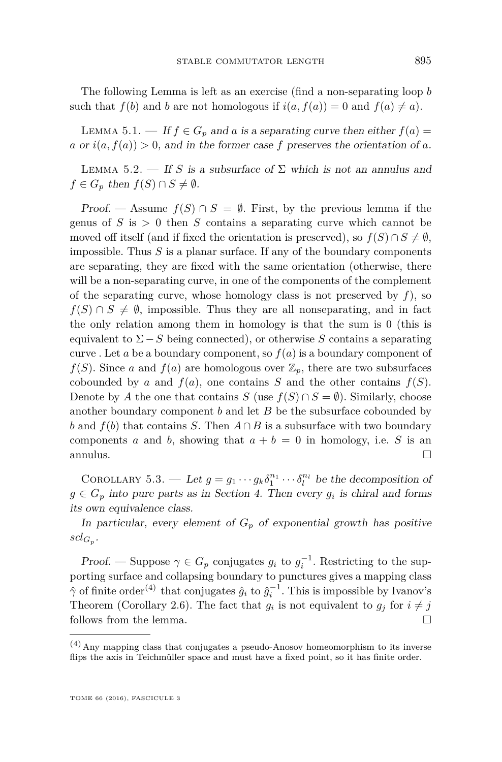The following Lemma is left as an exercise (find a non-separating loop *b* such that  $f(b)$  and *b* are not homologous if  $i(a, f(a)) = 0$  and  $f(a) \neq a$ .

LEMMA 5.1. — If  $f \in G_p$  and *a* is a separating curve then either  $f(a) =$ *a* or  $i(a, f(a)) > 0$ , and in the former case *f* preserves the orientation of *a*.

LEMMA 5.2. — If *S* is a subsurface of  $\Sigma$  which is not an annulus and  $f \in G_p$  then  $f(S) \cap S \neq \emptyset$ .

Proof. — Assume  $f(S) \cap S = \emptyset$ . First, by the previous lemma if the genus of  $S$  is  $> 0$  then  $S$  contains a separating curve which cannot be moved off itself (and if fixed the orientation is preserved), so  $f(S) \cap S \neq \emptyset$ , impossible. Thus *S* is a planar surface. If any of the boundary components are separating, they are fixed with the same orientation (otherwise, there will be a non-separating curve, in one of the components of the complement of the separating curve, whose homology class is not preserved by  $f$ ), so  $f(S) \cap S \neq \emptyset$ , impossible. Thus they are all nonseparating, and in fact the only relation among them in homology is that the sum is 0 (this is equivalent to  $\Sigma-S$  being connected), or otherwise *S* contains a separating curve . Let *a* be a boundary component, so  $f(a)$  is a boundary component of  $f(S)$ . Since *a* and  $f(a)$  are homologous over  $\mathbb{Z}_p$ , there are two subsurfaces cobounded by *a* and  $f(a)$ , one contains *S* and the other contains  $f(S)$ . Denote by *A* the one that contains *S* (use  $f(S) \cap S = \emptyset$ ). Similarly, choose another boundary component *b* and let *B* be the subsurface cobounded by *b* and  $f(b)$  that contains *S*. Then  $A \cap B$  is a subsurface with two boundary components *a* and *b*, showing that  $a + b = 0$  in homology, i.e. *S* is an annulus.  $\Box$ 

<span id="page-25-0"></span>COROLLARY 5.3. — Let  $g = g_1 \cdots g_k \delta_1^{n_1} \cdots \delta_l^{n_l}$  be the decomposition of  $g \in G_p$  into pure parts as in Section [4.](#page-15-0) Then every  $g_i$  is chiral and forms its own equivalence class.

In particular, every element of  $G_p$  of exponential growth has positive  $\operatorname{scl}_{G_p}$ .

Proof. — Suppose  $\gamma \in G_p$  conjugates  $g_i$  to  $g_i^{-1}$ . Restricting to the supporting surface and collapsing boundary to punctures gives a mapping class  $\hat{\gamma}$  of finite order<sup>(4)</sup> that conjugates  $\hat{g}_i$  to  $\hat{g}_i^{-1}$ . This is impossible by Ivanov's Theorem (Corollary [2.6\)](#page-9-1). The fact that  $g_i$  is not equivalent to  $g_j$  for  $i \neq j$ follows from the lemma.

 $(4)$  Any mapping class that conjugates a pseudo-Anosov homeomorphism to its inverse flips the axis in Teichmüller space and must have a fixed point, so it has finite order.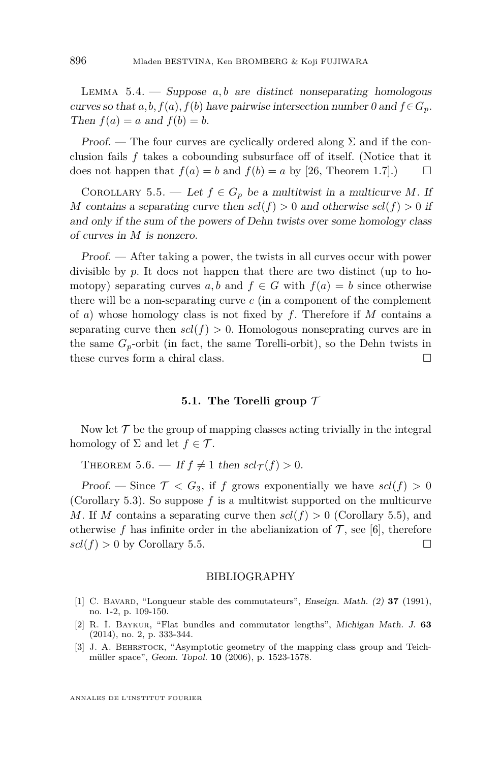LEMMA  $5.4.$  – Suppose  $a, b$  are distinct nonseparating homologous curves so that  $a, b, f(a), f(b)$  have pairwise intersection number 0 and  $f \in G_p$ . Then  $f(a) = a$  and  $f(b) = b$ .

Proof. — The four curves are cyclically ordered along  $\Sigma$  and if the conclusion fails *f* takes a cobounding subsurface off of itself. (Notice that it does not happen that  $f(a) = b$  and  $f(b) = a$  by [\[26,](#page-28-4) Theorem 1.7].)

<span id="page-26-4"></span>COROLLARY 5.5. — Let  $f \in G_p$  be a multitwist in a multicurve M. If *M* contains a separating curve then  $scl(f) > 0$  and otherwise  $scl(f) > 0$  if and only if the sum of the powers of Dehn twists over some homology class of curves in *M* is nonzero.

Proof. — After taking a power, the twists in all curves occur with power divisible by *p*. It does not happen that there are two distinct (up to homotopy) separating curves *a, b* and  $f \in G$  with  $f(a) = b$  since otherwise there will be a non-separating curve *c* (in a component of the complement of *a*) whose homology class is not fixed by *f*. Therefore if *M* contains a separating curve then  $scl(f) > 0$ . Homologous nonseprating curves are in the same  $G_p$ -orbit (in fact, the same Torelli-orbit), so the Dehn twists in these curves form a chiral class.

#### **5.1. The Torelli group** T

Now let  $\mathcal T$  be the group of mapping classes acting trivially in the integral homology of  $\Sigma$  and let  $f \in \mathcal{T}$ .

<span id="page-26-1"></span>THEOREM 5.6. — If  $f \neq 1$  then  $scl_{\tau}(f) > 0$ .

Proof. — Since  $\mathcal{T} < G_3$ , if *f* grows exponentially we have  $scl(f) > 0$ (Corollary [5.3\)](#page-25-0). So suppose  $f$  is a multitwist supported on the multicurve *M*. If *M* contains a separating curve then  $scl(f) > 0$  (Corollary [5.5\)](#page-26-4), and otherwise  $f$  has infinite order in the abelianization of  $\mathcal T$ , see [\[6\]](#page-27-8), therefore  $\text{gcd}(f) > 0$  by Corollary [5.5.](#page-26-4)

#### BIBLIOGRAPHY

- <span id="page-26-2"></span>[1] C. Bavard, "Longueur stable des commutateurs", Enseign. Math. (2) **37** (1991), no. 1-2, p. 109-150.
- <span id="page-26-0"></span>[2] R. İ. Baykur, "Flat bundles and commutator lengths", Michigan Math. J. **63** (2014), no. 2, p. 333-344.
- <span id="page-26-3"></span>[3] J. A. Behrstock, "Asymptotic geometry of the mapping class group and Teichmüller space", Geom. Topol. **10** (2006), p. 1523-1578.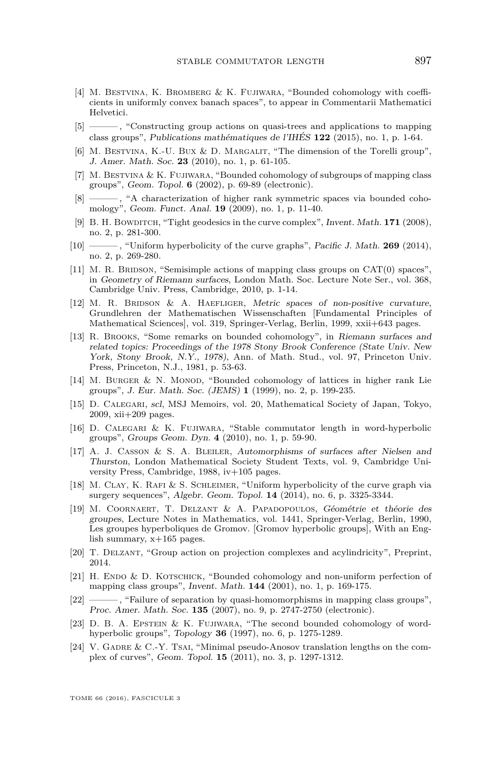- <span id="page-27-14"></span>[4] M. Bestvina, K. Bromberg & K. Fujiwara, "Bounded cohomology with coefficients in uniformly convex banach spaces", to appear in Commentarii Mathematici Helvetici.
- <span id="page-27-6"></span>[5] ——— , "Constructing group actions on quasi-trees and applications to mapping class groups", Publications mathématiques de l'IHÉS **122** (2015), no. 1, p. 1-64.
- <span id="page-27-8"></span>[6] M. BESTVINA, K.-U. BUX & D. MARGALIT, "The dimension of the Torelli group", J. Amer. Math. Soc. **23** (2010), no. 1, p. 61-105.
- <span id="page-27-11"></span>[7] M. Bestvina & K. Fujiwara, "Bounded cohomology of subgroups of mapping class groups", Geom. Topol. **6** (2002), p. 69-89 (electronic).
- <span id="page-27-17"></span> $\frac{1}{8}$ , "A characterization of higher rank symmetric spaces via bounded cohomology", Geom. Funct. Anal. **19** (2009), no. 1, p. 11-40.
- <span id="page-27-13"></span>[9] B. H. BOWDITCH, "Tight geodesics in the curve complex", Invent. Math. **171** (2008), no. 2, p. 281-300.
- <span id="page-27-18"></span>[10] ——, "Uniform hyperbolicity of the curve graphs", Pacific J. Math. **269** (2014), no. 2, p. 269-280.
- <span id="page-27-12"></span>[11] M. R. BRIDSON, "Semisimple actions of mapping class groups on CAT(0) spaces", in Geometry of Riemann surfaces, London Math. Soc. Lecture Note Ser., vol. 368, Cambridge Univ. Press, Cambridge, 2010, p. 1-14.
- <span id="page-27-9"></span>[12] M. R. Bridson & A. Haefliger, Metric spaces of non-positive curvature, Grundlehren der Mathematischen Wissenschaften [Fundamental Principles of Mathematical Sciences], vol. 319, Springer-Verlag, Berlin, 1999, xxii+643 pages.
- <span id="page-27-2"></span>[13] R. Brooks, "Some remarks on bounded cohomology", in Riemann surfaces and related topics: Proceedings of the 1978 Stony Brook Conference (State Univ. New York, Stony Brook, N.Y., 1978), Ann. of Math. Stud., vol. 97, Princeton Univ. Press, Princeton, N.J., 1981, p. 53-63.
- <span id="page-27-7"></span>[14] M. BURGER  $&$  N. MONOD, "Bounded cohomology of lattices in higher rank Lie groups", J. Eur. Math. Soc. (JEMS) **1** (1999), no. 2, p. 199-235.
- <span id="page-27-0"></span>[15] D. Calegari, scl, MSJ Memoirs, vol. 20, Mathematical Society of Japan, Tokyo, 2009, xii+209 pages.
- <span id="page-27-5"></span>[16] D. Calegari & K. Fujiwara, "Stable commutator length in word-hyperbolic groups", Groups Geom. Dyn. **4** (2010), no. 1, p. 59-90.
- <span id="page-27-16"></span>[17] A. J. Casson & S. A. Bleiler, Automorphisms of surfaces after Nielsen and Thurston, London Mathematical Society Student Texts, vol. 9, Cambridge University Press, Cambridge, 1988, iv+105 pages.
- <span id="page-27-19"></span>[18] M. Clay, K. Rafi & S. Schleimer, "Uniform hyperbolicity of the curve graph via surgery sequences", Algebr. Geom. Topol. **14** (2014), no. 6, p. 3325-3344.
- <span id="page-27-10"></span>[19] M. Coornaert, T. Delzant & A. Papadopoulos, Géométrie et théorie des groupes, Lecture Notes in Mathematics, vol. 1441, Springer-Verlag, Berlin, 1990, Les groupes hyperboliques de Gromov. [Gromov hyperbolic groups], With an English summary, x+165 pages.
- <span id="page-27-15"></span>[20] T. Delzant, "Group action on projection complexes and acylindricity", Preprint, 2014.
- <span id="page-27-4"></span>[21] H. ENDO & D. KOTSCHICK, "Bounded cohomology and non-uniform perfection of mapping class groups", Invent. Math. **144** (2001), no. 1, p. 169-175.
- <span id="page-27-1"></span>[22] ——— , "Failure of separation by quasi-homomorphisms in mapping class groups", Proc. Amer. Math. Soc. **135** (2007), no. 9, p. 2747-2750 (electronic).
- <span id="page-27-3"></span>[23] D. B. A. Epstein & K. Fujiwara, "The second bounded cohomology of wordhyperbolic groups", Topology **36** (1997), no. 6, p. 1275-1289.
- <span id="page-27-20"></span>[24] V. GADRE & C.-Y. TSAI, "Minimal pseudo-Anosov translation lengths on the complex of curves", Geom. Topol. **15** (2011), no. 3, p. 1297-1312.